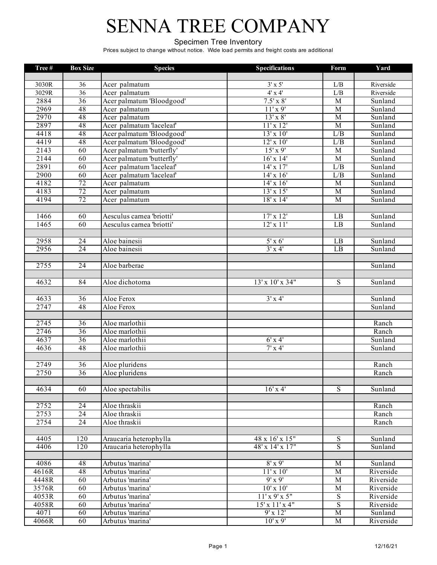#### Specimen Tree Inventory

| Tree#              | <b>Box Size</b> | <b>Species</b>            | <b>Specifications</b> | Form           | Yard      |
|--------------------|-----------------|---------------------------|-----------------------|----------------|-----------|
|                    |                 |                           |                       |                |           |
| 3030R              | 36              | Acer palmatum             | $3' \times 5'$        | L/B            | Riverside |
| 3029R              | $\overline{36}$ | Acer palmatum             | $4x + 4$              | L/B            | Riverside |
| 2884               | $\overline{36}$ | Acer palmatum 'Bloodgood' | $7.5' \times 8'$      | M              | Sunland   |
| 2969               | 48              | Acer palmatum             | $11'$ x 9'            | $\overline{M}$ | Sunland   |
| 2970               | 48              | Acer palmatum             | $13'$ x $8'$          | $\overline{M}$ | Sunland   |
| 2897               | 48              | Acer palmatum 'laceleaf'  | $11'$ x $12'$         | $\overline{M}$ | Sunland   |
| 4418               | 48              | Acer palmatum 'Bloodgood' | $13'$ x $10'$         | L/B            | Sunland   |
| 4419               | 48              | Acer palmatum 'Bloodgood' | $12'$ x $10'$         | L/B            | Sunland   |
| 2143               | 60              | Acer palmatum 'butterfly' | $15'$ x 9'            | $\overline{M}$ | Sunland   |
| 2144               | 60              | Acer palmatum 'butterfly' | $16'$ x $14'$         | M              | Sunland   |
| 2891               | 60              | Acer palmatum 'laceleaf'  | $14'$ x $17'$         | L/B            | Sunland   |
| 2900               | 60              | Acer palmatum 'laceleaf'  | $14'$ x $16'$         | L/B            | Sunland   |
| 4182               | 72              | Acer palmatum             | $14'$ x $16'$         | $\overline{M}$ | Sunland   |
| 4183               | 72              | Acer palmatum             | $13'$ x $15'$         | $\overline{M}$ | Sunland   |
| 4194               | 72              | Acer palmatum             | $18'$ x $14'$         | M              | Sunland   |
|                    |                 |                           |                       |                |           |
| 1466               | 60              | Aesculus camea 'briotti'  | $17'$ x $12'$         | LB             | Sunland   |
| 1465               | 60              | Aesculus carnea 'briotti' | $12'$ x $11'$         | LB             | Sunland   |
|                    |                 |                           |                       |                |           |
| 2958               | 24              | Aloe bainesii             | $5'$ x $6'$           | LB             | Sunland   |
| 2956               | $\overline{24}$ | Aloe bainesii             | $3' \times 4'$        | LB             | Sunland   |
|                    |                 |                           |                       |                |           |
| 2755               | $\overline{24}$ | Aloe barberae             |                       |                | Sunland   |
|                    |                 |                           |                       |                |           |
| 4632               | 84              | Aloe dichotoma            | 13' x 10' x 34"       | S              | Sunland   |
|                    |                 |                           |                       |                |           |
| 4633               | $\overline{36}$ | Aloe Ferox                | $3'$ x 4'             |                | Sunland   |
| 2747               | 48              | Aloe Ferox                |                       |                | Sunland   |
| 2745               | 36              | Aloe marlothii            |                       |                | Ranch     |
| 2746               | 36              | Aloe marlothii            |                       |                | Ranch     |
| 4637               | 36              | Aloe marlothii            | $6'$ x 4'             |                | Sunland   |
| 4636               | 48              | Aloe marlothii            | $7'$ x 4'             |                | Sunland   |
|                    |                 |                           |                       |                |           |
| 2749               | 36              | Aloe pluridens            |                       |                | Ranch     |
| 2750               | 36              | Aloe pluridens            |                       |                | Ranch     |
|                    |                 |                           |                       |                |           |
| 4634               | 60              | Aloe spectabilis          | $16'$ x 4'            | S              | Sunland   |
|                    |                 |                           |                       |                |           |
| 2752               | 24              | Aloe thraskii             |                       |                | Ranch     |
| 2753               | 24              | Aloe thraskii             |                       |                | Ranch     |
| 2754               | $\overline{24}$ | Aloe thraskii             |                       |                | Ranch     |
|                    |                 |                           |                       |                |           |
| 4405               | 120             | Araucaria heterophylla    | 48 x 16' x 15"        | $\overline{S}$ | Sunland   |
| 4406               | 120             | Araucaria heterophylla    | 48' x 14' x 17"       | S              | Sunland   |
|                    |                 |                           |                       |                |           |
| 4086               | 48              | Arbutus 'marina'          | $8'$ x 9'             | M              | Sunland   |
| $\overline{4616R}$ | 48              | Arbutus 'marina'          | $11' \times 10'$      | M              | Riverside |
| 4448R              | 60              | Arbutus 'marina'          | $9'$ x $9'$           | $\mathbf M$    | Riverside |
| 3576R              | 60              | Arbutus 'marina'          | $10'$ x $10'$         | $\mathbf M$    | Riverside |
| 4053R              | 60              | Arbutus 'marina'          | $11'$ x 9' x 5"       | ${\bf S}$      | Riverside |
| 4058R              | 60              | Arbutus 'marina'          | $15'$ x $11'$ x 4"    | S              | Riverside |
| 4071               | 60              | Arbutus 'marina'          | 9'x12'                | $\mathbf M$    | Sunland   |
| 4066R              | 60              | Arbutus 'marina'          | $10'$ x 9'            | M              | Riverside |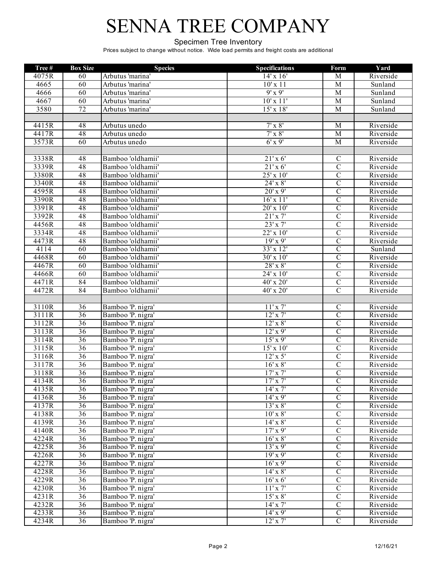#### Specimen Tree Inventory

| Tree# | <b>Box Size</b> | <b>Species</b>    | <b>Specifications</b> | Form           | Yard      |
|-------|-----------------|-------------------|-----------------------|----------------|-----------|
| 4075R | 60              | Arbutus 'marina'  | $14' \times 16'$      | M              | Riverside |
| 4665  | 60              | Arbutus 'marina'  | $10'$ x $11$          | M              | Sunland   |
| 4666  | 60              | Arbutus 'marina'  | $9'$ x $9'$           | M              | Sunland   |
| 4667  | 60              | Arbutus 'marina'  | $10'$ x $11'$         | $\overline{M}$ | Sunland   |
| 3580  | 72              | Arbutus 'marina'  | $15'$ x $18'$         | M              | Sunland   |
|       |                 |                   |                       |                |           |
| 4415R | 48              | Arbutus unedo     | $7'$ x $8'$           | M              | Riverside |
| 4417R | 48              | Arbutus unedo     | $7' \times 8'$        | M              | Riverside |
| 3573R | 60              | Arbutus unedo     | $6'$ x 9'             | M              | Riverside |
|       |                 |                   |                       |                |           |
| 3338R | 48              | Bamboo 'oldhamii' | 21'x6'                | $\mathcal{C}$  | Riverside |
| 3339R | 48              | Bamboo 'oldhamii' | $21'$ x 6'            | $\overline{C}$ | Riverside |
| 3380R | 48              | Bamboo 'oldhamii' | $25'$ x $10'$         | $\overline{C}$ | Riverside |
| 3340R | 48              | Bamboo 'oldhamii' | $24'$ x $8'$          | $\overline{C}$ | Riverside |
| 4595R | 48              | Bamboo 'oldhamii' | $20'$ x 9'            | $\overline{C}$ | Riverside |
| 3390R | 48              | Bamboo 'oldhamii' | 16'x11'               | $\overline{C}$ | Riverside |
| 3391R | 48              | Bamboo 'oldhamii' | $20'$ x $10'$         | $\overline{C}$ | Riverside |
| 3392R | 48              | Bamboo 'oldhamii' | 21'x7'                | $\overline{C}$ | Riverside |
| 4456R | 48              | Bamboo 'oldhamii' | 23'x 7'               | $\overline{C}$ | Riverside |
| 3334R | 48              | Bamboo 'oldhamii' | $22'$ x $10'$         | $\overline{C}$ | Riverside |
| 4473R | 48              | Bamboo 'oldhamii' | $19'$ x 9'            | $\overline{C}$ | Riverside |
| 4114  | 60              | Bamboo 'oldhamii' | $33' \times 12'$      | $\overline{C}$ | Sunland   |
| 4468R | 60              | Bamboo 'oldhamii' | 30' x 10'             | $\overline{C}$ | Riverside |
| 4467R | 60              | Bamboo 'oldhamii' | $28'$ x $8'$          | $\overline{C}$ | Riverside |
| 4466R | 60              | Bamboo 'oldhamii' | $24'$ x $10'$         | $\overline{C}$ | Riverside |
| 4471R | $\overline{84}$ | Bamboo 'oldhamii' | 40' x 20'             | $\overline{C}$ | Riverside |
| 4472R | 84              | Bamboo 'oldhamii' | 40' x 20'             | $\overline{C}$ | Riverside |
|       |                 |                   |                       |                |           |
| 3110R | $\overline{36}$ | Bamboo 'P. nigra' | 11'x7'                | $\overline{C}$ | Riverside |
| 3111R | 36              | Bamboo 'P. nigra' | $12'$ x $7'$          | $\overline{C}$ | Riverside |
| 3112R | $\overline{36}$ | Bamboo 'P. nigra' | $12'$ x $8'$          | $\overline{C}$ | Riverside |
| 3113R | $\overline{36}$ | Bamboo 'P. nigra' | $12'$ x 9'            | $\overline{C}$ | Riverside |
| 3114R | $\overline{36}$ | Bamboo 'P. nigra' | $15'$ x 9'            | $\overline{C}$ | Riverside |
| 3115R | $\overline{36}$ | Bamboo 'P. nigra' | $15'$ x $10'$         | $\overline{C}$ | Riverside |
| 3116R | 36              | Bamboo 'P. nigra' | $12'$ x 5'            | $\overline{C}$ | Riverside |
| 3117R | 36              | Bamboo 'P. nigra' | $16'$ x $8'$          | $\overline{C}$ | Riverside |
| 3118R | 36              | Bamboo 'P. nigra' | $17'$ x $7'$          | $\overline{C}$ | Riverside |
| 4134R | $\overline{36}$ | Bamboo 'P. nigra' | $17'$ x $7'$          | $\overline{C}$ | Riverside |
| 4135R | $\overline{36}$ | Bamboo 'P. nigra' | $14'$ x $7'$          | $\overline{C}$ | Riverside |
| 4136R | $\overline{36}$ | Bamboo 'P. nigra' | $14'$ x 9'            | $\overline{C}$ | Riverside |
| 4137R | 36              | Bamboo 'P. nigra' | $13'$ x $8'$          | $\overline{C}$ | Riverside |
| 4138R | $\overline{36}$ | Bamboo 'P. nigra' | $10'$ x $8'$          | $\overline{C}$ | Riverside |
| 4139R | $\overline{36}$ | Bamboo 'P. nigra' | $14'$ x $8'$          | $\overline{C}$ | Riverside |
| 4140R | $\overline{36}$ | Bamboo 'P. nigra' | $17'$ x 9'            | $\overline{C}$ | Riverside |
| 4224R | $\overline{36}$ | Bamboo 'P. nigra' | $16'$ x $8'$          | $\overline{C}$ | Riverside |
| 4225R | 36              | Bamboo 'P. nigra' | $13'$ x 9'            | $\overline{C}$ | Riverside |
| 4226R | 36              | Bamboo 'P. nigra' | 19'x9'                | $\overline{C}$ | Riverside |
| 4227R | 36              | Bamboo 'P. nigra' | $16'$ x 9'            | $\overline{C}$ | Riverside |
| 4228R | 36              | Bamboo 'P. nigra' | $14'$ x $8'$          | $\overline{C}$ | Riverside |
| 4229R | 36              | Bamboo 'P. nigra' | $16'$ x 6'            | $\overline{C}$ | Riverside |
| 4230R | $\overline{36}$ | Bamboo 'P. nigra' | $11'$ x $7'$          | $\overline{C}$ | Riverside |
| 4231R | $\overline{36}$ | Bamboo 'P. nigra' | $15'$ x $8'$          | $\overline{C}$ | Riverside |
| 4232R | $\overline{36}$ | Bamboo 'P. nigra' | $14'$ x $7'$          | $\overline{C}$ | Riverside |
| 4233R | $\overline{36}$ | Bamboo 'P. nigra' | $14'$ x 9'            | $\overline{C}$ | Riverside |
| 4234R | $\overline{36}$ | Bamboo 'P. nigra' | $12'$ x $7'$          | $\overline{C}$ | Riverside |
|       |                 |                   |                       |                |           |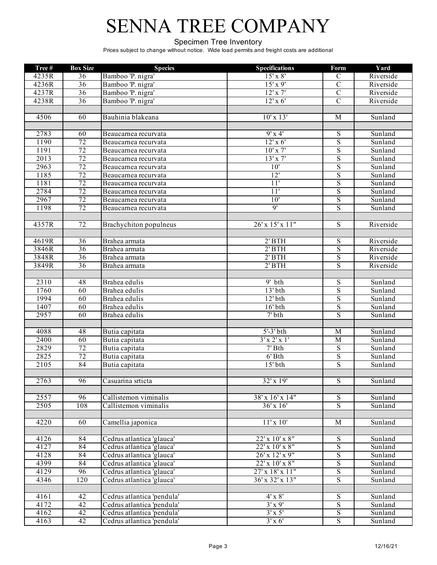#### Specimen Tree Inventory

| Tree#             | <b>Box Size</b> | <b>Species</b>             | <b>Specifications</b>       | Form                    | Yard      |
|-------------------|-----------------|----------------------------|-----------------------------|-------------------------|-----------|
| 4235R             | 36              | Bamboo 'P. nigra'          | $15'$ x $8'$                | $\mathcal{C}$           | Riverside |
| 4236R             | 36              | Bamboo 'P. nigra'          | $15'$ x 9'                  | $\overline{C}$          | Riverside |
| 4237R             | $\overline{36}$ | Bamboo 'P. nigra'          | $12'$ x $7'$                | $\overline{C}$          | Riverside |
| 4238R             | 36              | Bamboo 'P. nigra'          | $12'$ x 6'                  | $\overline{C}$          | Riverside |
|                   |                 |                            |                             |                         |           |
| 4506              | 60              | Bauhinia blakeana          | $10'$ x $13'$               | $\overline{M}$          | Sunland   |
|                   |                 |                            |                             |                         |           |
| 2783              | 60              | Beaucarnea recurvata       | $9'$ x 4'                   | ${\bf S}$               | Sunland   |
| 1190              | 72              | Beaucarnea recurvata       | $12'$ x 6'                  | $\overline{S}$          | Sunland   |
| 1191              | 72              | Beaucarnea recurvata       | $10'$ x $7'$                | $\mathbf S$             | Sunland   |
| $\overline{2013}$ | 72              | Beaucarnea recurvata       | $13'$ x $7'$                | $\overline{S}$          | Sunland   |
| 2963              | 72              | Beaucarnea recurvata       | 10'                         | $\overline{S}$          | Sunland   |
| 1185              | 72              | Beaucarnea recurvata       | 12'                         | $\overline{S}$          | Sunland   |
| 1181              | 72              | Beaucarnea recurvata       | 11'                         | $\overline{S}$          | Sunland   |
| 2784              | 72              | Beaucarnea recurvata       | 11'                         | $\overline{S}$          | Sunland   |
| 2967              | 72              | Beaucarnea recurvata       | 10'                         | $\overline{\mathbf{S}}$ | Sunland   |
| 1198              | 72              | Beaucarnea recurvata       | 9'                          | $\overline{S}$          | Sunland   |
|                   |                 |                            |                             |                         |           |
| 4357R             | 72              | Brachychiton populneus     | 26' x 15' x 11"             | $\overline{S}$          | Riverside |
|                   |                 |                            |                             |                         |           |
| 4619R             | 36              | Brahea armata              | $2'$ BTH                    | ${\bf S}$               | Riverside |
| 3846R             | 36              | Brahea armata              | $2'$ BTH                    | $\overline{S}$          | Riverside |
| 3848R             | 36              | Brahea armata              | $2'$ BTH                    | $\overline{S}$          | Riverside |
| 3849R             | $\overline{36}$ | Brahea armata              | $2'$ BTH                    | $\overline{S}$          | Riverside |
|                   |                 |                            |                             |                         |           |
| $\overline{2310}$ | 48              | Brahea edulis              | $9'$ bth                    | $\overline{S}$          | Sunland   |
| 1760              | $\overline{60}$ | Brahea edulis              | $13'$ bth                   | $\overline{\mathbf{S}}$ | Sunland   |
| 1994              | $\overline{60}$ | Brahea edulis              | $12'$ bth                   | $\overline{S}$          | Sunland   |
| 1407              | 60              | Brahea edulis              | $16'$ bth                   | $\overline{\mathbf{S}}$ | Sunland   |
| 2957              | 60              | Brahea edulis              | $7'$ bth                    | $\overline{\mathbf{S}}$ | Sunland   |
|                   |                 |                            |                             |                         |           |
| 4088              | 48              | Butia capitata             | $5'-3'$ bth                 | $\overline{M}$          | Sunland   |
| 2400              | 60              | Butia capitata             | $3'$ x 2' x 1'              | M                       | Sunland   |
| 2829              | $\overline{72}$ | Butia capitata             | $7'$ Bth                    | $\overline{S}$          | Sunland   |
| 2825              | $\overline{72}$ | Butia capitata             | $6'$ Bth                    | $\mathbf S$             | Sunland   |
| 2105              | 84              | Butia capitata             | $15'$ bth                   | $\overline{S}$          | Sunland   |
|                   |                 |                            |                             |                         |           |
| 2763              | 96              | Casuarina srticta          | 32' x 19'                   | S                       | Sunland   |
|                   |                 |                            |                             |                         |           |
| 2557              | 96              | Callistemon viminalis      | 38' x 16' x 14"             | S                       | Sunland   |
| 2505              | 108             | Callistemon viminalis      | $36' \times 16'$            | $\overline{S}$          | Sunland   |
|                   |                 |                            |                             |                         |           |
| 4220              | 60              | Camellia japonica          | 11'x10'                     | $\mathbf{M}$            | Sunland   |
|                   |                 |                            |                             |                         |           |
| 4126              | 84              | Cedrus atlantica 'glauca'  | 22' x 10' x 8"              | S                       | Sunland   |
| 4127              | 84              | Cedrus atlantica 'glauca'  | 22' x 10' x 8"              | $\overline{S}$          | Sunland   |
| 4128              | 84              | Cedrus atlantica 'glauca'  | 26' x 12' x 9"              | $\mathbf S$             | Sunland   |
| 4399              | 84              | Cedrus atlantica 'glauca'  | $22' \times 10' \times 8''$ | $\mathbf S$             | Sunland   |
| 4129              | $\overline{96}$ | Cedrus atlantica 'glauca'  | $27'$ x $18'$ x $11''$      | $\overline{S}$          | Sunland   |
| 4346              | 120             | Cedrus atlantica 'glauca'  | $36'$ x $32'$ x $13''$      | $\overline{S}$          | Sunland   |
|                   |                 |                            |                             |                         |           |
| 4161              | 42              | Cedrus atlantica 'pendula' | $4' \times 8'$              | $\overline{S}$          | Sunland   |
| 4172              | $\overline{42}$ | Cedrus atlantica 'pendula' | $3'$ x 9'                   | $\overline{S}$          | Sunland   |
| 4162              | 42              | Cedrus atlantica 'pendula' | $3' \times 5'$              | $\overline{S}$          | Sunland   |
| 4163              | $\overline{42}$ | Cedrus atlantica 'pendula' | $3'$ x 6'                   | S                       | Sunland   |
|                   |                 |                            |                             |                         |           |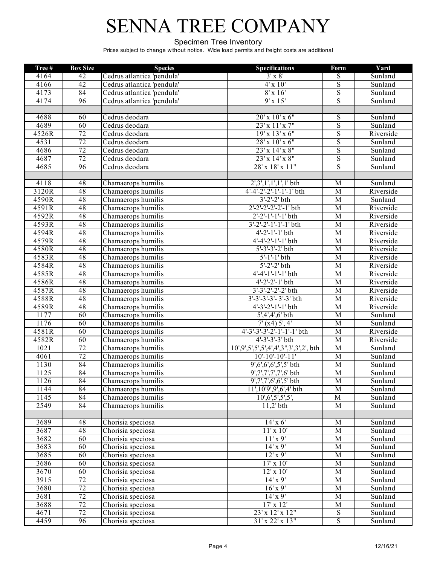#### Specimen Tree Inventory

| Tree# | <b>Box Size</b> | <b>Species</b>             | <b>Specifications</b>                  | Form                    | Yard      |
|-------|-----------------|----------------------------|----------------------------------------|-------------------------|-----------|
| 4164  | 42              | Cedrus atlantica 'pendula' | $3' \times 8'$                         | ${\bf S}$               | Sunland   |
| 4166  | 42              | Cedrus atlantica 'pendula' | $4'$ x $10'$                           | $\overline{\mathbf{S}}$ | Sunland   |
| 4173  | 84              | Cedrus atlantica 'pendula' | $8'$ x 16'                             | $\overline{S}$          | Sunland   |
| 4174  | 96              | Cedrus atlantica 'pendula' | 9'x15'                                 | $\overline{S}$          | Sunland   |
|       |                 |                            |                                        |                         |           |
| 4688  | 60              | Cedrus deodara             | 20' x 10' x 6"                         | $\overline{S}$          | Sunland   |
| 4689  | 60              | Cedrus deodara             | 23' x 11' x 7"                         | $\overline{S}$          | Sunland   |
| 4526R | $\overline{72}$ | Cedrus deodara             | 19' x 13' x 6"                         | $\overline{S}$          | Riverside |
| 4531  | $\overline{72}$ | Cedrus deodara             | $28'$ x $10'$ x $6''$                  | $\overline{S}$          | Sunland   |
| 4686  | $\overline{72}$ | Cedrus deodara             | $23'$ x $14'$ x $8''$                  | $\overline{S}$          | Sunland   |
| 4687  | $\overline{72}$ | Cedrus deodara             | $23'$ x $14'$ x $8''$                  | $\overline{S}$          | Sunland   |
| 4685  | 96              | Cedrus deodara             | 28' x 18' x 11"                        | $\overline{\mathbf{S}}$ | Sunland   |
|       |                 |                            |                                        |                         |           |
| 4118  | 48              | Chamaerops humilis         | 2',3',1',1',1',1' bth                  | M                       | Sunland   |
| 3120R | 48              | Chamaerops humilis         | 4'-4'-2'-2'-1'-1'-1' bth               | M                       | Riverside |
| 4590R | 48              | Chamaerops humilis         | $3'-2'-2'$ bth                         | $\overline{M}$          | Sunland   |
| 4591R | 48              | Chamaerops humilis         | $2'-2'-2'-2'-1$ bth                    | $\overline{M}$          | Riverside |
| 4592R | 48              | Chamaerops humilis         | $2'-2'-1'-1'-1'$ bth                   | M                       | Riverside |
| 4593R | 48              | Chamaerops humilis         | $3'-2'-2'-1'-1'-1'$ bth                | $\overline{M}$          | Riverside |
| 4594R | 48              | Chamaerops humilis         | $4'-2'-1'-1'$ bth                      | M                       | Riverside |
| 4579R | 48              | Chamaerops humilis         | $4' - 4' - 2' - 1' - 1'$ bth           | $\overline{M}$          | Riverside |
| 4580R | 48              | Chamaerops humilis         | $5' - 3' - 3' - 2' bth$                | M                       | Riverside |
| 4583R | 48              | Chamaerops humilis         | $5'-1'-1$ bth                          | M                       | Riverside |
| 4584R | 48              | Chamaerops humilis         | $5' - 2' - 2' bth$                     | M                       | Riverside |
| 4585R | 48              | Chamaerops humilis         | $4'$ -4'-1'-1'-1' bth                  | M                       | Riverside |
| 4586R | 48              | Chamaerops humilis         | $4'$ -2'-2'-1' bth                     | $\overline{M}$          | Riverside |
| 4587R | 48              | Chamaerops humilis         | $3'-3'-2'-2'-2$ bth                    | $\overline{M}$          | Riverside |
| 4588R | 48              | Chamaerops humilis         | 3'-3'-3'-3'-3'-3' bth                  | M                       | Riverside |
| 4589R | 48              | Chamaerops humilis         | $4'$ -3'-2'-1'-1' bth                  | M                       | Riverside |
| 1177  | $\overline{60}$ | Chamaerops humilis         | 5',4',4',6' bth                        | M                       | Sunland   |
| 1176  | 60              | Chamaerops humilis         | 7'(x4)5', 4'                           | $\overline{M}$          | Sunland   |
| 4581R | $\overline{60}$ | Chamaerops humilis         | $4'$ -3'-3'-3'-2'-1'-1'-1' bth         | $\overline{M}$          | Riverside |
| 4582R | 60              | Chamaerops humilis         | $4'-3'-3'-3'$ bth                      | $\overline{M}$          | Riverside |
| 1021  | 72              | Chamaerops humilis         | 10',9',5',5',5',4',4',3",3',3',2', bth | $\overline{M}$          | Sunland   |
| 4061  | 72              | Chamaerops humilis         | $10'$ -10'-10'-11'                     | M                       | Sunland   |
| 1130  | 84              | Chamaerops humilis         | $9', 6', 6', 5', 5'$ bth               | $\overline{M}$          | Sunland   |
| 1125  | 84              | Chamaerops humilis         | 9',7',7',7',7',6' bth                  | M                       | Sunland   |
| 1126  | 84              | Chamaerops humilis         | $9',7',7',6',6',5'$ bth                | $\overline{M}$          | Sunland   |
| 1144  | $\overline{84}$ | Chamaerops humilis         | 11',10'9',9',6',4' bth                 | $\overline{M}$          | Sunland   |
| 1145  | $\overline{84}$ | Chamaerops humilis         | 10', 6', 5', 5', 5',                   | M                       | Sunland   |
| 2549  | 84              | Chamaerops humilis         | $11,2'$ bth                            | $\mathbf M$             | Sunland   |
|       |                 |                            |                                        |                         |           |
| 3689  | 48              | Chorisia speciosa          | $14'$ x 6'                             | M                       | Sunland   |
| 3687  | 48              | Chorisia speciosa          | 11'x10'                                | M                       | Sunland   |
| 3682  | 60              | Chorisia speciosa          | $11'$ x 9'                             | M                       | Sunland   |
| 3683  | 60              | Chorisia speciosa          | $14' \times 9'$                        | $\mathbf M$             | Sunland   |
| 3685  | 60              | Chorisia speciosa          | $12'$ x 9'                             | $\overline{M}$          | Sunland   |
| 3686  | 60              | Chorisia speciosa          | $17' \times 10'$                       | M                       | Sunland   |
| 3670  | 60              | Chorisia speciosa          | $12'$ x $10'$                          | M                       | Sunland   |
| 3915  | $\overline{72}$ | Chorisia speciosa          | $14'$ x 9'                             | M                       | Sunland   |
| 3680  | 72              | Chorisia speciosa          | $16'$ x 9'                             | $\mathbf M$             | Sunland   |
| 3681  | 72              | Chorisia speciosa          | $14'$ x 9'                             | $\mathbf M$             | Sunland   |
| 3688  | 72              | Chorisia speciosa          | $17' \times 12'$                       | M                       | Sunland   |
| 4671  | 72              | Chorisia speciosa          | 23' x 12' x 12"                        | $\overline{S}$          | Sunland   |
| 4459  | 96              | Chorisia speciosa          | $31'$ x 22' x 13"                      | $\mathbf S$             | Sunland   |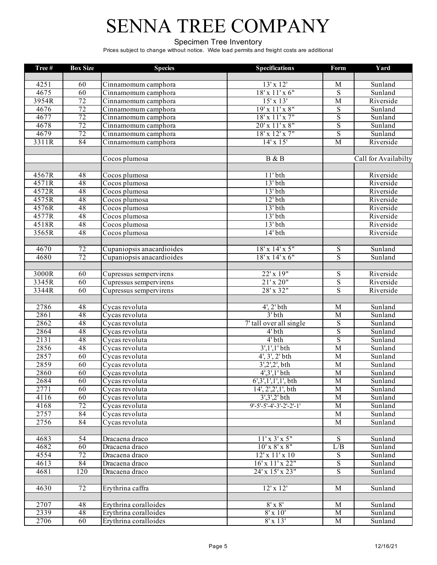#### Specimen Tree Inventory

| Tree# | <b>Box Size</b> | <b>Species</b>                        | <b>Specifications</b>      | Form                    | Yard                 |
|-------|-----------------|---------------------------------------|----------------------------|-------------------------|----------------------|
|       |                 |                                       |                            |                         |                      |
| 4251  | 60              | Cinnamomum camphora                   | $13' \times 12'$           | $\overline{M}$          | Sunland              |
| 4675  | 60              | Cinnamomum camphora                   | $18'$ x $11'$ x $6"$       | ${\bf S}$               | Sunland              |
| 3954R | 72              | Cinnamomum camphora                   | $15'$ x $13'$              | $\overline{M}$          | Riverside            |
| 4676  | 72              | Cinnamomum camphora                   | 19' x 11' x 8"             | $\mathbf S$             | Sunland              |
| 4677  | 72              | Cinnamomum camphora                   | $18'$ x $11'$ x $7"$       | $\overline{\mathbf{S}}$ | Sunland              |
| 4678  | 72              | Cinnamomum camphora                   | 20' x 11' x 8"             | $\overline{\mathbf{S}}$ | Sunland              |
| 4679  | 72              | Cinnamomum camphora                   | 18' x 12' x 7"             | $\overline{S}$          | Sunland              |
| 3311R | 84              | Cinnamomum camphora                   | $14'$ x $15'$              | $\overline{M}$          | Riverside            |
|       |                 |                                       |                            |                         |                      |
|       |                 | Cocos plumosa                         | B & B                      |                         | Call for Availabilty |
|       |                 |                                       |                            |                         |                      |
| 4567R | 48              | Cocos plumosa                         | $11'$ bth                  |                         | Riverside            |
| 4571R | 48              | Cocos plumosa                         | $13'$ <sub>bth</sub>       |                         | Riverside            |
| 4572R | 48              | Cocos plumosa                         | $13'$ bth                  |                         | Riverside            |
| 4575R | 48              | Cocos plumosa                         | $12'$ bth                  |                         | Riverside            |
| 4576R | 48              | Cocos plumosa                         | $13'$ bth                  |                         | Riverside            |
| 4577R | 48              | Cocos plumosa                         | $13'$ bth                  |                         | Riverside            |
| 4518R | 48              | Cocos plumosa                         | $13'$ bth                  |                         | Riverside            |
| 3565R | 48              | Cocos plumosa                         | $14'$ bth                  |                         | Riverside            |
|       |                 |                                       |                            |                         |                      |
| 4670  | 72              | Cupaniopsis anacardioides             | 18' x 14' x 5"             | S                       | Sunland              |
| 4680  | 72              | Cupaniopsis anacardioides             | $18'$ x $14'$ x $6''$      | ${\bf S}$               | Sunland              |
|       |                 |                                       |                            |                         |                      |
| 3000R | 60              | Cupressus sempervirens                | $22'$ x $19''$             | S                       | Riverside            |
| 3345R | 60              | Cupressus sempervirens                | 21'x20"                    | $\overline{S}$          | Riverside            |
| 3344R | 60              | Cupressus sempervirens                | 28' x 32"                  | $\overline{\mathbf{S}}$ | Riverside            |
|       |                 |                                       |                            |                         |                      |
| 2786  | 48              | Cycas revoluta                        | $4'$ , $2'$ bth            | $\overline{M}$          | Sunland              |
| 2861  | 48              | Cycas revoluta                        | $3'$ bth                   | $\overline{M}$          | Sunland              |
| 2862  | 48              | Cycas revoluta                        | 7' tall over all single    | $\overline{S}$          | Sunland              |
| 2864  | 48              | Cycas revoluta                        | $4'$ bth                   | $\overline{\mathbf{S}}$ | Sunland              |
| 2131  | 48              | Cycas revoluta                        | $4'$ bth                   | $\overline{\mathbf{S}}$ | Sunland              |
| 2856  | 48              | Cycas revoluta                        | $3',1',1'$ bth             | $\overline{M}$          | Sunland              |
| 2857  | 60              | Cycas revoluta                        | $4', 3', 2'$ bth           | $\overline{M}$          | Sunland              |
| 2859  | 60              | Cycas revoluta                        | $3',2',2',$ bth            | $\overline{M}$          | Sunland              |
| 2860  | 60              | Cycas revoluta                        | $4', 3', 1'$ bth           | $\overline{M}$          | Sunland              |
| 2684  | 60              | Cycas revoluta                        | 6',3',1',1',1', bth        | $\overline{M}$          | Sunland              |
| 2771  | 60              | Cycas revoluta                        | 14', 2', 2', 1', bth       | M                       | Sunland              |
| 4116  | 60              | Cycas revoluta                        | $3', 3', 2'$ bth           | M                       | Sunland              |
| 4168  | $\overline{72}$ | Cycas revoluta                        | $9'$ -5'-5'-4'-3'-2'-2'-1' | $\mathbf M$             | Sunland              |
| 2757  | 84              | $\overline{\mathrm{C}}$ ycas revoluta |                            | $\mathbf M$             | Sunland              |
| 2756  | 84              | Cycas revoluta                        |                            | M                       | Sunland              |
|       |                 |                                       |                            |                         |                      |
| 4683  | 54              | Dracaena draco                        | $11' \times 3' \times 5''$ | S                       | Sunland              |
| 4682  | 60              | Dracaena draco                        | $10'$ x $8'$ x $8"$        | L/B                     | Sunland              |
| 4554  | $\overline{72}$ | Dracaena draco                        | $12'$ x $11'$ x $10$       | S                       | Sunland              |
| 4613  | 84              | Dracaena draco                        | $16'$ x $11'$ x $22"$      | $\overline{S}$          | Sunland              |
| 4681  | 120             | Dracaena draco                        | 24' x 15' x 23"            | $\overline{S}$          | Sunland              |
|       |                 |                                       |                            |                         |                      |
| 4630  | 72              | Erythrina caffra                      | $12'$ x $12'$              | M                       | Sunland              |
|       |                 |                                       |                            |                         |                      |
| 2707  | 48              | Erythrina coralloides                 | $8' \times 8'$             | M                       | Sunland              |
| 2339  | 48              | Erythrina coralloides                 | 8'x10'                     | $\mathbf M$             | Sunland              |
| 2706  | 60              | Erythrina coralloides                 | $8'$ x 13'                 | M                       | Sunland              |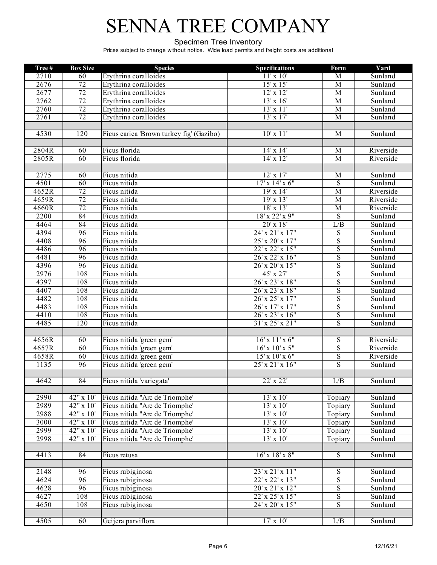#### Specimen Tree Inventory

| Tree# | <b>Box Size</b>  | <b>Species</b>                           | <b>Specifications</b>       | Form                                      | Yard                        |
|-------|------------------|------------------------------------------|-----------------------------|-------------------------------------------|-----------------------------|
| 2710  | 60               | Erythrina coralloides                    | 11'x10'                     | M                                         | Sunland                     |
| 2676  | 72               | Erythrina coralloides                    | $15'$ x $15'$               | $\overline{M}$                            | Sunland                     |
| 2677  | 72               | Erythrina coralloides                    | $12'$ x $12'$               | M                                         | Sunland                     |
| 2762  | 72               | Erythrina coralloides                    | $13'$ x $16'$               | $\overline{M}$                            | $\overline{\text{Sunland}}$ |
| 2760  | 72               | Erythrina coralloides                    | 13'x11'                     | $\overline{M}$                            | Sunland                     |
| 2761  | 72               | Erythrina coralloides                    | $13'$ x $17'$               | $\overline{M}$                            | Sunland                     |
|       |                  |                                          |                             |                                           |                             |
| 4530  | $\overline{120}$ | Ficus carica 'Brown turkey fig' (Gazibo) | $10'$ x $11'$               | M                                         | Sunland                     |
|       |                  |                                          |                             |                                           |                             |
| 2804R | 60               | Ficus florida                            | $14' \times 14'$            | M                                         | Riverside                   |
| 2805R | 60               | Ficus florida                            | $14' \times 12'$            | M                                         | Riverside                   |
|       |                  |                                          |                             |                                           |                             |
| 2775  | 60               | Ficus nitida                             | $12'$ x $17'$               | M                                         | Sunland                     |
| 4501  | 60               | Ficus nitida                             | $17' \times 14' \times 6''$ | $\mathbf S$                               | Sunland                     |
| 4652R | 72               | Ficus nitida                             | 19'x14'                     | $\overline{M}$                            | Riverside                   |
| 4659R | 72               | Ficus nitida                             | 19'x13'                     | $\overline{M}$                            | Riverside                   |
| 4660R | 72               | Ficus nitida                             | $18'$ x $13'$               | $\overline{M}$                            | Riverside                   |
| 2200  | 84               | Ficus nitida                             | 18' x 22' x 9"              | $\overline{S}$                            | Sunland                     |
| 4464  | 84               | Ficus nitida                             | $20'$ x $18'$               | L/B                                       | Sunland                     |
| 4394  | 96               | Ficus nitida                             | 24' x 21' x 17"             | $\overline{S}$                            | Sunland                     |
| 4408  | 96               | Ficus nitida                             | 25' x 20' x 17"             | $\overline{S}$                            | Sunland                     |
| 4486  | 96               | Ficus nitida                             | $22'$ x $22'$ x $15"$       | $\overline{S}$                            | Sunland                     |
| 4481  | 96               | Ficus nitida                             | 26' x 22' x 16"             | $\overline{S}$                            |                             |
| 4396  | 96               | Ficus nitida                             | $26'$ x $20'$ x $15"$       | $\overline{S}$                            | Sunland<br>Sunland          |
| 2976  |                  |                                          |                             |                                           |                             |
|       | 108              | Ficus nitida                             | $45' \times 27'$            | $\overline{S}$                            | Sunland                     |
| 4397  | 108<br>108       | Ficus nitida                             | 26' x 23' x 18"             | $\overline{S}$<br>$\overline{\mathbf{S}}$ | Sunland                     |
| 4407  |                  | Ficus nitida                             | 26' x 23' x 18"             |                                           | Sunland                     |
| 4482  | 108              | Ficus nitida                             | 26' x 25' x 17"             | $\overline{S}$                            | Sunland                     |
| 4483  | 108              | Ficus nitida                             | 26' x 17' x 17"             | $\overline{S}$                            | Sunland                     |
| 4410  | 108              | Ficus nitida                             | 26' x 23' x 16"             | $\overline{S}$                            | Sunland                     |
| 4485  | 120              | Ficus nitida                             | $31'$ x $25'$ x $21"$       | $\overline{S}$                            | Sunland                     |
|       |                  |                                          |                             |                                           |                             |
| 4656R | 60               | Ficus nitida 'green gem'                 | $16'$ x $11'$ x $6"$        | $\overline{S}$                            | Riverside                   |
| 4657R | 60               | Ficus nitida 'green gem'                 | $16'$ x $10'$ x $5"$        | ${\bf S}$                                 | Riverside                   |
| 4658R | 60               | Ficus nitida 'green gem'                 | $15'$ x $10'$ x $6''$       | ${\bf S}$                                 | Riverside                   |
| 1135  | 96               | Ficus nitida 'green gem'                 | 25' x 21' x 16"             | $\overline{S}$                            | Sunland                     |
|       |                  |                                          |                             |                                           |                             |
| 4642  | 84               | Ficus nitida 'variegata'                 | 22' x 22'                   | L/B                                       | Sunland                     |
|       |                  |                                          |                             |                                           |                             |
| 2990  | 42" x 10'        | Ficus nitida "Arc de Triomphe"           | $13' \times 10'$            | Topiary                                   | Sunland                     |
| 2989  | $42" \times 10'$ | Ficus nitida "Arc de Triomphe'           | $13' \times 10'$            | Topiary                                   | Sunland                     |
| 2988  | $42"$ x 10'      | Ficus nitida "Arc de Triomphe'           | $13'$ x $10'$               | Topiary                                   | Sunland                     |
| 3000  | 42" x 10'        | Ficus nitida "Arc de Triomphe'           | $13'$ x $10'$               | Topiary                                   | Sunland                     |
| 2999  | 42" x 10"        | Ficus nitida "Arc de Triomphe'           | $13' \times 10'$            | Topiary                                   | Sunland                     |
| 2998  | $42"$ x 10'      | Ficus nitida "Arc de Triomphe'           | $13'$ x $10'$               | Topiary                                   | Sunland                     |
|       |                  |                                          |                             |                                           |                             |
| 4413  | 84               | Ficus retusa                             | $16'$ x $18'$ x $8''$       | $\overline{S}$                            | Sunland                     |
|       |                  |                                          |                             |                                           |                             |
| 2148  | 96               | Ficus rubiginosa                         | 23'x 21'x 11''              | $\mathbf S$                               | Sunland                     |
| 4624  | 96               | Ficus rubiginosa                         | 22' x 22' x 13"             | ${\bf S}$                                 | Sunland                     |
| 4628  | 96               | Ficus rubiginosa                         | 20'x 21'x 12"               | $\overline{\mathbf{S}}$                   | Sunland                     |
| 4627  | 108              | Ficus rubiginosa                         | 22' x 25' x 15"             | $\overline{S}$                            | Sunland                     |
| 4650  | 108              | Ficus rubiginosa                         | $24'$ x $20'$ x $15"$       | $\overline{\mathbf{S}}$                   | Sunland                     |
|       |                  |                                          |                             |                                           |                             |
| 4505  | 60               | Geijera parviflora                       | $17'$ x $10'$               | L/B                                       | Sunland                     |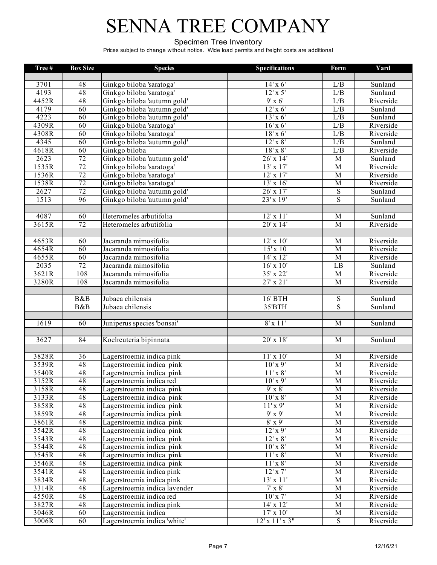#### Specimen Tree Inventory

| Tree# | <b>Box Size</b> | <b>Species</b>                | <b>Specifications</b>       | Form             | Yard      |
|-------|-----------------|-------------------------------|-----------------------------|------------------|-----------|
|       |                 |                               |                             |                  |           |
| 3701  | 48              | Ginkgo biloba 'saratoga'      | $14' \times 6'$             | L/B              | Sunland   |
| 4193  | 48              | Ginkgo biloba 'saratoga'      | $12'$ x 5'                  | L/B              | Sunland   |
| 4452R | 48              | Ginkgo biloba 'autumn gold'   | $9'$ x 6'                   | L/B              | Riverside |
| 4179  | 60              | Ginkgo biloba 'autumn gold'   | $12'$ x 6'                  | L/B              | Sunland   |
| 4223  | 60              | Ginkgo biloba 'autumn gold'   | $13'$ x 6'                  | L/B              | Sunland   |
| 4309R | 60              | Ginkgo biloba 'saratoga'      | $16'$ x 6'                  | L/B              | Riverside |
| 4308R | 60              | Ginkgo biloba 'saratoga'      | $18'$ x 6'                  | $\overline{L/B}$ | Riverside |
| 4345  | 60              | Ginkgo biloba 'autumn gold'   | $12'$ x $8'$                | L/B              | Sunland   |
| 4618R | 60              | Ginkgo biloba                 | $18'$ x $8'$                | L/B              | Riverside |
| 2623  | 72              | Ginkgo biloba 'autumn gold'   | 26' x 14'                   | $\overline{M}$   | Sunland   |
| 1535R | 72              | Ginkgo biloba 'saratoga'      | $13'$ x $17'$               | $\overline{M}$   | Riverside |
| 1536R | 72              | Ginkgo biloba 'saratoga'      | $12'$ x $17'$               | $\mathbf M$      | Riverside |
| 1538R | 72              | Ginkgo biloba 'saratoga'      | $13' \times 16'$            | $\overline{M}$   | Riverside |
| 2627  | 72              | Ginkgo biloba 'autumn gold'   | $26'$ x $17'$               | $\overline{S}$   | Sunland   |
| 1513  | 96              | Ginkgo biloba 'autumn gold'   | $23'$ x $19'$               | $\overline{S}$   | Sunland   |
|       |                 |                               |                             |                  |           |
| 4087  | 60              | Heteromeles arbutifolia       | $12'$ x $11'$               | M                | Sunland   |
| 3615R | 72              | Heteromeles arbutifolia       | 20' x 14'                   | $\overline{M}$   | Riverside |
|       |                 |                               |                             |                  |           |
| 4653R | 60              | Jacaranda mimosifolia         | $12'$ x $10'$               | $\overline{M}$   | Riverside |
| 4654R | 60              | Jacaranda mimosifolia         | $15'$ x 10                  | $\overline{M}$   | Riverside |
| 4655R | 60              | Jacaranda mimosifolia         | $14'$ x $12'$               | $\overline{M}$   | Riverside |
| 2035  | 72              | Jacaranda mimosifolia         | $16'$ x $10'$               | LB               | Sunland   |
| 3621R | 108             | Jacaranda mimosifolia         | 35' x 22'                   | $\overline{M}$   | Riverside |
| 3280R | 108             | Jacaranda mimosifolia         | $27'$ x $21'$               | $\overline{M}$   | Riverside |
|       |                 |                               |                             |                  |           |
|       | B&B             | Jubaea chilensis              | 16' BTH                     | ${\bf S}$        | Sunland   |
|       | B&B             | Jubaea chilensis              | 35'BTH                      | $\overline{S}$   | Sunland   |
|       |                 |                               |                             |                  |           |
| 1619  | 60              | Juniperus species 'bonsai'    | $8'$ x 11'                  | $\overline{M}$   | Sunland   |
|       |                 |                               |                             |                  |           |
| 3627  | 84              | Koelreuteria bipinnata        | 20' x 18'                   | M                | Sunland   |
|       |                 |                               |                             |                  |           |
| 3828R | $\overline{36}$ | Lagerstroemia indica pink     | $11'$ x $10'$               | M                | Riverside |
| 3539R | 48              | Lagerstroemia indica pink     | $10'$ x 9'                  | $\overline{M}$   | Riverside |
| 3540R | 48              | Lagerstroemia indica pink     | $11'$ x $8'$                | $\overline{M}$   | Riverside |
| 3152R | 48              | Lagerstroemia indica red      | $10'$ x 9'                  | $\overline{M}$   | Riverside |
| 3158R | 48              | Lagerstroemia indica pink     | $9'$ x $8'$                 | $\overline{M}$   | Riverside |
| 3133R | 48              | Lagerstroemia indica pink     | $10'$ x $8'$                | $\mathbf M$      | Riverside |
| 3858R | 48              | Lagerstroemia indica pink     | $11'$ x 9'                  | $\overline{M}$   | Riverside |
| 3859R | 48              | Lagerstroemia indica pink     | $9'$ x $9'$                 | $\mathbf M$      | Riverside |
| 3861R | $\overline{48}$ | Lagerstroemia indica pink     | $8'$ x 9'                   | $\mathbf M$      | Riverside |
| 3542R | 48              | Lagerstroemia indica pink     | $12'$ x 9'                  | $\overline{M}$   | Riverside |
| 3543R | 48              | Lagerstroemia indica pink     | $12'$ x $8'$                | M                | Riverside |
| 3544R | 48              | Lagerstroemia indica pink     | $10'$ x $8'$                | $\overline{M}$   | Riverside |
| 3545R | 48              | Lagerstroemia indica pink     | $11'$ x $8'$                | $\overline{M}$   | Riverside |
| 3546R | 48              | Lagerstroemia indica pink     | $11' \times 8'$             | $\mathbf M$      | Riverside |
| 3541R | 48              | Lagerstroemia indica pink     | $12'$ x $7'$                | $\overline{M}$   | Riverside |
| 3834R | 48              | Lagerstroemia indica pink     | 13'x11'                     | $\mathbf M$      | Riverside |
| 3314R | 48              | Lagerstroemia indica lavender | $7' \times 8'$              | $\mathbf M$      | Riverside |
| 4550R | 48              | Lagerstroemia indica red      | $10'$ x $7'$                | $\mathbf M$      | Riverside |
| 3827R | 48              | Lagerstroemia indica pink     | $14'$ x $12'$               | $\mathbf M$      | Riverside |
| 3046R | 60              | Lagerstroemia indica          | $17'$ x $10'$               | $\mathbf M$      | Riverside |
| 3006R | 60              | Lagerstroemia indica 'white'  | $12' \times 11' \times 3''$ | S                | Riverside |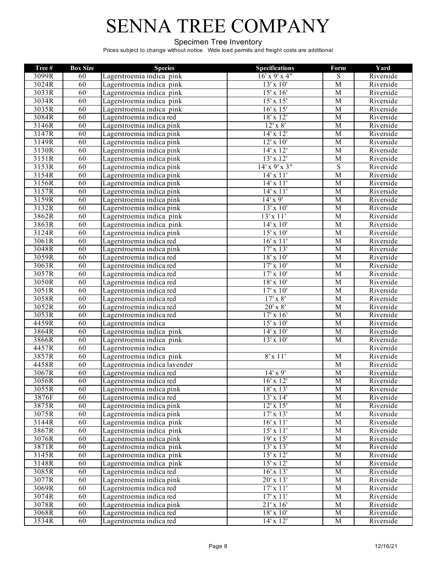#### Specimen Tree Inventory

| Tree# | <b>Box Size</b> | <b>Species</b>                | <b>Specifications</b> | Form           | Yard      |
|-------|-----------------|-------------------------------|-----------------------|----------------|-----------|
| 3099R | 60              | Lagerstroemia indica pink     | $16'$ x 9' x 4"       | $\overline{S}$ | Riverside |
| 3024R | 60              | Lagerstroemia indica pink     | $13'$ x $10'$         | $\overline{M}$ | Riverside |
| 3033R | 60              | Lagerstroemia indica pink     | $15'$ x $16'$         | $\overline{M}$ | Riverside |
| 3034R | 60              | Lagerstroemia indica pink     | $15'$ x $15'$         | $\overline{M}$ | Riverside |
| 3035R | 60              | Lagerstroemia indica pink     | $16'$ x $15'$         | $\overline{M}$ | Riverside |
| 3084R | 60              | Lagerstroemia indica red      | $18'$ x $12'$         | $\overline{M}$ | Riverside |
| 3146R | 60              | Lagerstroemia indica pink     | $12'$ x $8'$          | $\overline{M}$ | Riverside |
| 3147R | 60              | Lagerstroemia indica pink     | $14' \times 12'$      | $\overline{M}$ | Riverside |
| 3149R | 60              | Lagerstroemia indica pink     | $12' \times 10'$      | M              | Riverside |
| 3130R | 60              | Lagerstroemia indica pink     | $14'$ x $12'$         | $\overline{M}$ | Riverside |
| 3151R | 60              | Lagerstroemia indica pink     | $13'$ x $12'$         | $\mathbf M$    | Riverside |
| 3153R | 60              | Lagerstroemia indica pink     | $14'$ x 9' x 3"       | $\overline{S}$ | Riverside |
| 3154R | 60              | Lagerstroemia indica pink     | $14'$ x $11'$         | $\overline{M}$ | Riverside |
| 3156R | 60              | Lagerstroemia indica pink     | 14' x 11'             | $\overline{M}$ | Riverside |
| 3157R | 60              | Lagerstroemia indica pink     | $14'$ x $11'$         | $\overline{M}$ | Riverside |
| 3159R | 60              | Lagerstroemia indica pink     | $14'$ x 9'            | M              | Riverside |
| 3132R | 60              | Lagerstroemia indica pink     | $13'$ x $10'$         | $\overline{M}$ | Riverside |
| 3862R | 60              | Lagerstroemia indica pink     | 13'x11'               | $\overline{M}$ | Riverside |
| 3863R | 60              | Lagerstroemia indica pink     | $14'$ x $10'$         | $\overline{M}$ | Riverside |
| 3124R | 60              | Lagerstroemia indica pink     | $15'$ x $10'$         | $\overline{M}$ | Riverside |
| 3061R | 60              | Lagerstroemia indica red      | $16'$ x $11'$         | $\overline{M}$ | Riverside |
| 3048R | 60              | Lagerstroemia indica pink     | $17'$ x $13'$         | $\overline{M}$ | Riverside |
| 3059R | 60              | Lagerstroemia indica red      | $18'$ x $10'$         | $\overline{M}$ | Riverside |
| 3063R | 60              | Lagerstroemia indica red      | $17'$ x $10'$         | $\overline{M}$ | Riverside |
| 3057R | 60              | Lagerstroemia indica red      | $17'$ x $10'$         | $\overline{M}$ | Riverside |
| 3050R | 60              | Lagerstroemia indica red      | $18'$ x $10'$         | $\overline{M}$ | Riverside |
| 3051R | 60              | Lagerstroemia indica red      | $17'$ x $10'$         | $\overline{M}$ | Riverside |
| 3058R | 60              | Lagerstroemia indica red      | $17'$ x $8'$          | $\overline{M}$ | Riverside |
| 3052R | 60              | Lagerstroemia indica red      | $20'$ x $8'$          | $\overline{M}$ | Riverside |
| 3053R | 60              | Lagerstroemia indica red      | $17'$ x $16'$         | M              | Riverside |
| 4459R | 60              | Lagerstroemia indica          | $15'$ x $10'$         | M              | Riverside |
| 3864R | 60              | Lagerstroemia indica pink     | $14'$ x $10'$         | $\overline{M}$ | Riverside |
| 3866R | 60              | Lagerstroemia indica pink     | $13'$ x $10'$         | $\overline{M}$ | Riverside |
| 4457R | 60              | Lagerstroemia indica          |                       |                | Riverside |
| 3857R | 60              | Lagerstroemia indica pink     | $8'$ x 11'            | $\overline{M}$ | Riverside |
| 4458R | 60              | Lagerstroemia indica lavender |                       | M              | Riverside |
| 3067R | 60              | Lagerstroemia indica red      | $14' \times 9'$       | $\overline{M}$ | Riverside |
| 3056R | 60              | Lagerstroemia indica red      | $16'$ x $12'$         | $\overline{M}$ | Riverside |
| 3055R | 60              | Lagerstroemia indica pink     | $18'$ x $13'$         | $\overline{M}$ | Riverside |
| 3876F | 60              | Lagerstroemia indica red      | 13'x14'               | M              | Riverside |
| 3875R | 60              | Lagerstroemia indica pink     | $12'$ x $15'$         | $\mathbf M$    | Riverside |
| 3075R | 60              | Lagerstroemia indica pink     | $17' \times 13'$      | $\overline{M}$ | Riverside |
| 3144R | 60              | Lagerstroemia indica pink     | $16'$ x $11'$         | $\overline{M}$ | Riverside |
| 3867R | 60              | Lagerstroemia indica pink     | 15'x11'               | $\mathbf M$    | Riverside |
| 3076R | 60              | Lagerstroemia indica pink     | 19'x15'               | $\overline{M}$ | Riverside |
| 3871R | 60              | Lagerstroemia indica pink     | $13'$ x $13'$         | M              | Riverside |
| 3145R | 60              | Lagerstroemia indica pink     | $15'$ x $12'$         | $\overline{M}$ | Riverside |
| 3148R | 60              | Lagerstroemia indica pink     | $15'$ x $12'$         | $\mathbf M$    | Riverside |
| 3085R | 60              | Lagerstroemia indica red      | $16'$ x $13'$         | $\mathbf M$    | Riverside |
| 3077R | 60              | Lagerstroemia indica pink     | $20'$ x $13'$         | $\mathbf M$    | Riverside |
| 3069R | 60              | Lagerstroemia indica red      | 17'x11'               | $\mathbf M$    | Riverside |
| 3074R | 60              | Lagerstroemia indica red      | 17'x11'               | $\mathbf M$    | Riverside |
| 3078R | 60              | Lagerstroemia indica pink     | 21'x16'               | $\mathbf M$    | Riverside |
| 3068R | 60              | Lagerstroemia indica red      | $18' \times 10'$      | M              | Riverside |
| 3534R | 60              | Lagerstroemia indica red      | $14'$ x $12'$         | $\mathbf M$    | Riverside |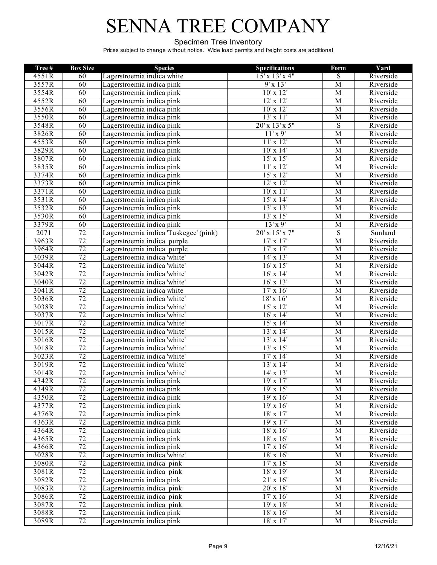#### Specimen Tree Inventory

| Tree# | <b>Box Size</b> | <b>Species</b>                         | <b>Specifications</b> | Form           | Yard      |
|-------|-----------------|----------------------------------------|-----------------------|----------------|-----------|
| 4551R | 60              | Lagerstroemia indica white             | $15'$ x $13'$ x 4"    | $\overline{S}$ | Riverside |
| 3557R | 60              | Lagerstroemia indica pink              | 9'x13'                | $\overline{M}$ | Riverside |
| 3554R | 60              | Lagerstroemia indica pink              | $10'$ x $12'$         | $\overline{M}$ | Riverside |
| 4552R | 60              | Lagerstroemia indica pink              | $12'$ x $12'$         | $\overline{M}$ | Riverside |
| 3556R | 60              | Lagerstroemia indica pink              | $10'$ x $12'$         | $\overline{M}$ | Riverside |
| 3550R | 60              | Lagerstroemia indica pink              | 13'x11'               | $\overline{M}$ | Riverside |
| 3548R | 60              | Lagerstroemia indica pink              | $20'$ x $13'$ x $5"$  | $\overline{S}$ | Riverside |
| 3826R | 60              | Lagerstroemia indica pink              | $11'$ x 9'            | $\overline{M}$ | Riverside |
| 4553R | 60              | Lagerstroemia indica pink              | 11'x12'               | M              | Riverside |
| 3829R | 60              | Lagerstroemia indica pink              | $10'$ x $14'$         | $\overline{M}$ | Riverside |
| 3807R | 60              | Lagerstroemia indica pink              | $15'$ x $15'$         | M              | Riverside |
| 3835R | 60              | Lagerstroemia indica pink              | $11'$ x $12'$         | $\overline{M}$ | Riverside |
| 3374R | 60              | Lagerstroemia indica pink              | $15'$ x $12'$         | $\overline{M}$ | Riverside |
| 3373R | 60              | Lagerstroemia indica pink              | $12'$ x $12'$         | $\overline{M}$ | Riverside |
| 3371R | 60              | Lagerstroemia indica pink              | $10'$ x $11'$         | $\overline{M}$ | Riverside |
| 3531R | 60              | Lagerstroemia indica pink              | $15'$ x $14'$         | $\overline{M}$ | Riverside |
| 3532R | 60              | Lagerstroemia indica pink              | $13'$ x $13'$         | M              | Riverside |
| 3530R | 60              | Lagerstroemia indica pink              | $13' \times 15'$      | $\overline{M}$ | Riverside |
| 3379R | 60              | Lagerstroemia indica pink              | $13'$ x 9'            | $\overline{M}$ | Riverside |
| 2071  | 72              | Lagerstroemia indica 'Tuskegee' (pink) | $20'$ x $15'$ x $7"$  | $\overline{S}$ | Sunland   |
| 3963R | 72              | Lagerstroemia indica purple            | $17'$ x $17'$         | M              | Riverside |
| 3964R | $\overline{72}$ | Lagerstroemia indica purple            | $17' \times 17'$      | $\overline{M}$ | Riverside |
| 3039R | $\overline{72}$ | Lagerstroemia indica 'white'           | $14' \times 13'$      | M              | Riverside |
| 3044R | $\overline{72}$ | Lagerstroemia indica 'white'           | $16'$ x $15'$         | M              | Riverside |
| 3042R | 72              | Lagerstroemia indica 'white'           | $16'$ x $14'$         | $\overline{M}$ | Riverside |
| 3040R | 72              | Lagerstroemia indica 'white'           | $16'$ x $13'$         | $\overline{M}$ | Riverside |
| 3041R | 72              | Lagerstroemia indica white             | $17'$ x $16'$         | M              | Riverside |
| 3036R | 72              | Lagerstroemia indica 'white'           | $18' \times 16'$      | $\overline{M}$ | Riverside |
| 3038R | 72              | Lagerstroemia indica 'white'           | $15'$ x $12'$         | $\overline{M}$ | Riverside |
| 3037R | 72              | Lagerstroemia indica 'white'           | $16'$ x $14'$         | $\overline{M}$ | Riverside |
| 3017R | 72              | Lagerstroemia indica 'white'           | $15'$ x $14'$         | $\overline{M}$ | Riverside |
| 3015R | 72              | Lagerstroemia indica 'white'           | 13'x14'               | $\overline{M}$ | Riverside |
| 3016R | 72              | Lagerstroemia indica 'white'           | 13'x14'               | $\overline{M}$ | Riverside |
| 3018R | 72              | Lagerstroemia indica 'white'           | $13'$ x $15'$         | $\overline{M}$ | Riverside |
| 3023R | $\overline{72}$ | Lagerstroemia indica 'white'           | $17' \times 14'$      | $\overline{M}$ | Riverside |
| 3019R | $\overline{72}$ | Lagerstroemia indica 'white'           | $13'$ x 14'           | M              | Riverside |
| 3014R | $\overline{72}$ | Lagerstroemia indica 'white'           | $14' \times 13'$      | $\mathbf M$    | Riverside |
| 4342R | 72              | Lagerstroemia indica pink              | 19'x17'               | $\overline{M}$ | Riverside |
| 4349R | 72              | Lagerstroemia indica pink              | 19'x15'               | $\overline{M}$ | Riverside |
| 4350R | 72              | Lagerstroemia indica pink              | 19'x16'               | M              | Riverside |
| 4377R | 72              | Lagerstroemia indica pink              | 19'x16'               | M              | Riverside |
| 4376R | 72              | Lagerstroemia indica pink              | $18'$ x $17'$         | $\overline{M}$ | Riverside |
| 4363R | 72              | Lagerstroemia indica pink              | 19'x17'               | M              | Riverside |
| 4364R | 72              | Lagerstroemia indica pink              | $18'$ x $16'$         | M              | Riverside |
| 4365R | 72              | Lagerstroemia indica pink              | $18'$ x $16'$         | $\overline{M}$ | Riverside |
| 4366R | 72              | Lagerstroemia indica pink              | $17'$ x $16'$         | M              | Riverside |
| 3028R | 72              | Lagerstroemia indica 'white'           | $18'$ x $16'$         | M              | Riverside |
| 3080R | 72              | Lagerstroemia indica pink              | $17' \times 18'$      | M              | Riverside |
| 3081R | $\overline{72}$ | Lagerstroemia indica pink              | $18' \times 19'$      | $\mathbf M$    | Riverside |
| 3082R | 72              | Lagerstroemia indica pink              | 21'x16'               | $\mathbf M$    | Riverside |
| 3083R | 72              | Lagerstroemia indica pink              | $20'$ x $18'$         | M              | Riverside |
| 3086R | 72              | Lagerstroemia indica pink              | $17'$ x $16'$         | $\mathbf M$    | Riverside |
| 3087R | 72              | Lagerstroemia indica pink              | 19'x18'               | M              | Riverside |
| 3088R | 72              | Lagerstroemia indica pink              | $18'x\,16'$           | M              | Riverside |
| 3089R | 72              | Lagerstroemia indica pink              | $18'$ x $17'$         | $\mathbf M$    | Riverside |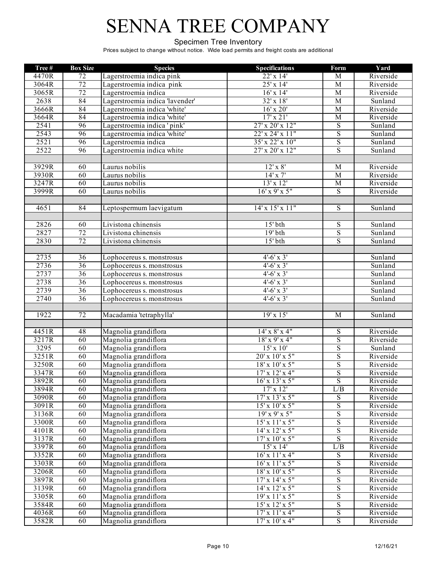#### Specimen Tree Inventory

| Tree# | <b>Box Size</b> | <b>Species</b>                  | <b>Specifications</b>      | Form                    | Yard      |
|-------|-----------------|---------------------------------|----------------------------|-------------------------|-----------|
| 4470R | 72              | Lagerstroemia indica pink       | 22' x 14'                  | M                       | Riverside |
| 3064R | 72              | Lagerstroemia indica pink       | $25' \times 14'$           | $\overline{M}$          | Riverside |
| 3065R | 72              | Lagerstroemia indica            | $16'$ x $14'$              | $\overline{M}$          | Riverside |
| 2638  | 84              | Lagerstroemia indica 'lavender' | $32' \times 18'$           | M                       | Sunland   |
| 3666R | 84              | Lagerstroemia indica 'white'    | $16'$ x $20'$              | $\overline{M}$          | Riverside |
| 3664R | 84              | Lagerstroemia indica 'white'    | $17'$ x $21'$              | M                       | Riverside |
| 2541  | 96              | Lagerstroemia indica 'pink'     | $27'$ x $20'$ x $12"$      | $\overline{S}$          | Sunland   |
| 2543  | 96              | Lagerstroemia indica 'white'    | 22' x 24' x 11"            | $\overline{S}$          | Sunland   |
| 2521  | 96              | Lagerstroemia indica            | $35'$ x 22' x 10"          | $\overline{S}$          | Sunland   |
| 2522  | 96              | Lagerstroemia indica white      | $27'$ x $20'$ x $12"$      | $\overline{S}$          | Sunland   |
|       |                 |                                 |                            |                         |           |
| 3929R | 60              | Laurus nobilis                  | $12'$ x $8'$               | M                       | Riverside |
| 3930R | 60              | Laurus nobilis                  | $14'$ x $7'$               | $\overline{M}$          | Riverside |
| 3247R | 60              | Laurus nobilis                  | 13'x12'                    | $\mathbf M$             | Riverside |
| 3999R | 60              | Laurus nobilis                  | $16'$ x 9' x 5"            | $\mathbf S$             | Riverside |
|       |                 |                                 |                            |                         |           |
| 4651  | 84              | Leptospermum laevigatum         | $14'$ x $15'$ x $11''$     | S                       | Sunland   |
|       |                 |                                 |                            |                         |           |
| 2826  | 60              | Livistona chinensis             | $15'$ bth                  | ${\bf S}$               | Sunland   |
| 2827  | 72              | Livistona chinensis             | $19'$ bth                  | $\overline{S}$          | Sunland   |
| 2830  | $\overline{72}$ | Livistona chinensis             | $15'$ bth                  | ${\bf S}$               | Sunland   |
|       |                 |                                 |                            |                         |           |
| 2735  | 36              | Lophocereus s. monstrosus       | $4'$ -6' x 3'              |                         | Sunland   |
| 2736  | $\overline{36}$ | Lophocereus s. monstrosus       | $4'$ -6' x 3'              |                         | Sunland   |
| 2737  | 36              | Lophocereus s. monstrosus       | $4' - 6'$ x 3'             |                         | Sunland   |
| 2738  | 36              | Lophocereus s. monstrosus       | $4'$ -6' x 3'              |                         | Sunland   |
| 2739  | $\overline{36}$ | Lophocereus s. monstrosus       | $4'$ -6' x 3'              |                         | Sunland   |
| 2740  | $\overline{36}$ | Lophocereus s. monstrosus       | $4'$ -6' x $3'$            |                         | Sunland   |
|       |                 |                                 |                            |                         |           |
| 1922  | 72              | Macadamia 'tetraphylla'         | 19'x15'                    | $\overline{M}$          | Sunland   |
|       |                 |                                 |                            |                         |           |
| 4451R | 48              | Magnolia grandiflora            | $14'$ x $8'$ x $4"$        | ${\bf S}$               | Riverside |
| 3217R | 60              | Magnolia grandiflora            | $18'$ x 9' x 4"            | $\overline{S}$          | Riverside |
| 3295  | 60              | Magnolia grandiflora            | $15'$ x $10'$              | $\overline{S}$          | Sunland   |
| 3251R | 60              | Magnolia grandiflora            | 20' x 10' x 5"             | $\overline{S}$          | Riverside |
| 3250R | 60              | Magnolia grandiflora            | $18'$ x $10'$ x $5"$       | $\overline{S}$          | Riverside |
| 3347R | 60              | Magnolia grandiflora            | $17'$ x $12'$ x 4"         | $\overline{S}$          | Riverside |
| 3892R | 60              | Magnolia grandiflora            | $16'$ x $13'$ x $5''$      | $\overline{\mathbf{S}}$ | Riverside |
| 3894R | 60              | Magnolia grandiflora            | $17' \times 12'$           | L/B                     | Riverside |
| 3090R | 60              | Magnolia grandiflora            | $17'$ x $13'$ x $5''$      | $\overline{S}$          | Riverside |
| 3091R | 60              | Magnolia grandiflora            | $15'$ x $10'$ x $5''$      | $\overline{S}$          | Riverside |
| 3136R | 60              | Magnolia grandiflora            | 19'x9'x5"                  | $\overline{S}$          | Riverside |
| 3300R | 60              | Magnolia grandiflora            | $15'$ x $11'$ x $5''$      | $\overline{S}$          | Riverside |
| 4101R | 60              | Magnolia grandiflora            | $14'$ x $12'$ x $5''$      | $\overline{S}$          | Riverside |
| 3137R | 60              | Magnolia grandiflora            | $17'$ x $10'$ x $5''$      | $\overline{\mathrm{s}}$ | Riverside |
| 3397R | 60              | Magnolia grandiflora            | $15'$ x $14'$              | L/B                     | Riverside |
| 3352R | 60              | Magnolia grandiflora            | $16'$ x $11'$ x 4"         | $\overline{S}$          | Riverside |
| 3303R | 60              | Magnolia grandiflora            | $16'$ x $11'$ x $5''$      | $\mathbf S$             | Riverside |
| 3206R | 60              | Magnolia grandiflora            | $18'$ x $10'$ x $5"$       | ${\bf S}$               | Riverside |
| 3897R | 60              | Magnolia grandiflora            | $17'$ x $14'$ x $5''$      | $\overline{S}$          | Riverside |
| 3139R | 60              | Magnolia grandiflora            | $14'$ x $12'$ x $5''$      | $\overline{S}$          | Riverside |
| 3305R | 60              | Magnolia grandiflora            | 19'x11'x5"                 | $\overline{S}$          | Riverside |
| 3584R | 60              | Magnolia grandiflora            | $15'$ x $12'$ x $5''$      | $\overline{\mathbf{S}}$ | Riverside |
| 4036R | 60              | Magnolia grandiflora            | $17' \times 11' \times 4"$ | $\overline{S}$          | Riverside |
| 3582R | 60              | Magnolia grandiflora            | $17'$ x $10'$ x 4"         | $\overline{S}$          | Riverside |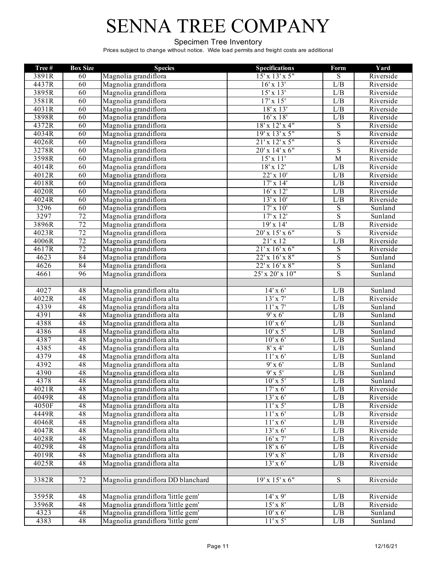#### Specimen Tree Inventory

| Tree# | <b>Box Size</b> | <b>Species</b>                    | <b>Specifications</b> | Form                    | Yard      |
|-------|-----------------|-----------------------------------|-----------------------|-------------------------|-----------|
| 3891R | 60              | Magnolia grandiflora              | $15'$ x $13'$ x $5''$ | $\overline{S}$          | Riverside |
| 4437R | 60              | Magnolia grandiflora              | $16'$ x $13'$         | L/B                     | Riverside |
| 3895R | 60              | Magnolia grandiflora              | $15'$ x $13'$         | L/B                     | Riverside |
| 3581R | 60              | Magnolia grandiflora              | $17' \times 15'$      | L/B                     | Riverside |
| 4031R | 60              | Magnolia grandiflora              | $18'$ x $13'$         | L/B                     | Riverside |
| 3898R | 60              | Magnolia grandiflora              | $16'$ x $18'$         | L/B                     | Riverside |
| 4372R | 60              | Magnolia grandiflora              | $18'$ x $12'$ x 4"    | $\overline{S}$          | Riverside |
| 4034R | 60              | Magnolia grandiflora              | 19'x 13'x 5"          | $\overline{S}$          | Riverside |
| 4026R | 60              | Magnolia grandiflora              | 21'x 12'x 5"          | $\overline{S}$          | Riverside |
| 3278R | 60              | Magnolia grandiflora              | $20'$ x $14'$ x $6''$ | $\overline{\mathbf{S}}$ | Riverside |
| 3598R | 60              | Magnolia grandiflora              | 15'x11'               | $\overline{M}$          | Riverside |
| 4014R | 60              | Magnolia grandiflora              | $18'$ x $12'$         | L/B                     | Riverside |
| 4012R | 60              | Magnolia grandiflora              | $22' \times 10'$      | L/B                     | Riverside |
| 4018R | 60              | Magnolia grandiflora              | $17'$ x $14'$         | L/B                     | Riverside |
| 4020R | 60              | Magnolia grandiflora              | $16'$ x $12'$         | L/B                     | Riverside |
| 4024R | 60              | Magnolia grandiflora              | $13'$ x $10'$         | L/B                     | Riverside |
| 3296  | 60              | Magnolia grandiflora              | $17'$ x $10'$         | $\overline{S}$          | Sunland   |
| 3297  | 72              | Magnolia grandiflora              | $17'$ x $12'$         | $\overline{S}$          | Sunland   |
| 3896R | 72              | Magnolia grandiflora              | 19'x14'               | L/B                     | Riverside |
| 4023R | 72              | Magnolia grandiflora              | $20'$ x $15'$ x $6"$  | $\overline{S}$          | Riverside |
| 4006R | $\overline{72}$ | Magnolia grandiflora              | $21'$ x 12            | L/B                     | Riverside |
| 4617R | $\overline{72}$ | Magnolia grandiflora              | 21'x16'x6"            | $\overline{S}$          | Riverside |
| 4623  | 84              | Magnolia grandiflora              | 22' x 16' x 8"        | $\overline{S}$          | Sunland   |
| 4626  | 84              | Magnolia grandiflora              | 22' x 16' x 8"        | $\overline{\mathbf{S}}$ | Sunland   |
| 4661  | 96              | Magnolia grandiflora              | 25' x 20' x 10"       | $\overline{S}$          | Sunland   |
|       |                 |                                   |                       |                         |           |
| 4027  | 48              | Magnolia grandiflora alta         | $14'$ x 6'            | L/B                     | Sunland   |
| 4022R | 48              | Magnolia grandiflora alta         | $13'$ x $7'$          | L/B                     | Riverside |
| 4339  | 48              | Magnolia grandiflora alta         | $11'$ x $7'$          | L/B                     | Sunland   |
| 4391  | 48              | Magnolia grandiflora alta         | $9'$ x 6'             | L/B                     | Sunland   |
| 4388  | 48              | Magnolia grandiflora alta         | $10'$ x 6'            | L/B                     | Sunland   |
| 4386  | 48              | Magnolia grandiflora alta         | $10'$ x 5'            | L/B                     | Sunland   |
| 4387  | 48              | Magnolia grandiflora alta         | $10'$ x 6'            | L/B                     | Sunland   |
| 4385  | 48              | Magnolia grandiflora alta         | $8'$ x 4'             | L/B                     | Sunland   |
| 4379  | 48              | Magnolia grandiflora alta         | $11'$ x 6'            | L/B                     | Sunland   |
| 4392  | 48              | Magnolia grandiflora alta         | $9'$ x 6'             | L/B                     | Sunland   |
| 4390  | 48              | Magnolia grandiflora alta         | $9' \times 5'$        | L/B                     | Sunland   |
| 4378  | 48              | Magnolia grandiflora alta         | $10'$ x 5'            | L/B                     | Sunland   |
| 4021R | 48              | Magnolia grandiflora alta         | $17'$ x 6'            | L/B                     | Riverside |
| 4049R | 48              | Magnolia grandiflora alta         | $13'$ x 6'            | L/B                     | Riverside |
| 4050F | 48              | Magnolia grandiflora alta         | $11'$ x 5'            | L/B                     | Riverside |
| 4449R | 48              | Magnolia grandiflora alta         | $11'$ x 6'            | L/B                     | Riverside |
| 4046R | 48              | Magnolia grandiflora alta         | $11'$ x 6'            | L/B                     | Riverside |
| 4047R | 48              | Magnolia grandiflora alta         | $13' \times 6'$       | L/B                     | Riverside |
| 4028R | 48              | Magnolia grandiflora alta         | $16'$ x $7'$          | L/B                     | Riverside |
| 4029R | 48              | Magnolia grandiflora alta         | $18'$ x 6'            | L/B                     | Riverside |
| 4019R | 48              | Magnolia grandiflora alta         | $19'$ x $8'$          | L/B                     | Riverside |
| 4025R | 48              | Magnolia grandiflora alta         | $13'$ x 6'            | L/B                     | Riverside |
|       |                 |                                   |                       |                         |           |
| 3382R | $\overline{72}$ | Magnolia grandiflora DD blanchard | $19'x\ 15'x\ 6"$      | S                       | Riverside |
|       |                 |                                   |                       |                         |           |
| 3595R | 48              | Magnolia grandiflora 'little gem' | $14'$ x 9'            | L/B                     | Riverside |
| 3596R | 48              | Magnolia grandiflora 'little gem' | $15'$ x $8'$          | L/B                     | Riverside |
| 4323  | 48              | Magnolia grandiflora 'little gem' | $10'$ x 6'            | $\overline{L}/B$        | Sunland   |
| 4383  | $\overline{48}$ | Magnolia grandiflora 'little gem' | $11'$ x 5'            | L/B                     | Sunland   |
|       |                 |                                   |                       |                         |           |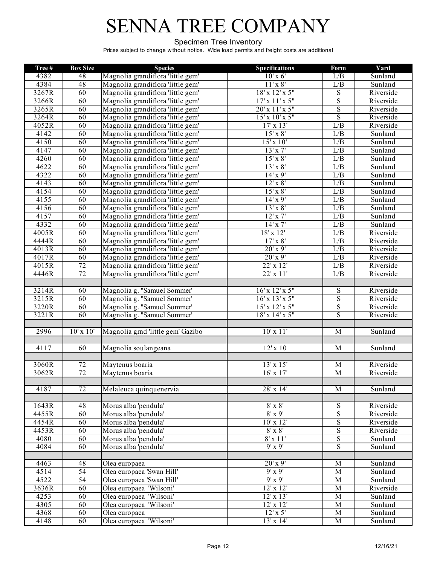#### Specimen Tree Inventory

| Tree# | <b>Box Size</b> | <b>Species</b>                    | <b>Specifications</b>       | Form                    | Yard      |
|-------|-----------------|-----------------------------------|-----------------------------|-------------------------|-----------|
| 4382  | 48              | Magnolia grandiflora 'little gem' | $10'$ x 6'                  | L/B                     | Sunland   |
| 4384  | 48              | Magnolia grandiflora 'little gem' | $11'$ x $8'$                | L/B                     | Sunland   |
| 3267R | 60              | Magnolia grandiflora 'little gem' | 18' x 12' x 5"              | $\overline{S}$          | Riverside |
| 3266R | 60              | Magnolia grandiflora 'little gem' | $17'$ x $11'$ x $5''$       | $\overline{\mathbf{S}}$ | Riverside |
| 3265R | 60              | Magnolia grandiflora 'little gem' | 20' x 11' x 5"              | $\overline{\mathbf{S}}$ | Riverside |
| 3264R | 60              | Magnolia grandiflora 'little gem' | 15' x 10' x 5"              | $\overline{\mathrm{s}}$ | Riverside |
| 4052R | 60              | Magnolia grandiflora 'little gem' | $17' \times 13'$            | L/B                     | Riverside |
| 4142  | 60              | Magnolia grandiflora 'little gem' | $15'$ x $8'$                | L/B                     | Sunland   |
| 4150  | 60              | Magnolia grandiflora 'little gem' | $15'$ x $10'$               | L/B                     | Sunland   |
| 4147  | 60              | Magnolia grandiflora 'little gem' | 13'x 7'                     | L/B                     | Sunland   |
| 4260  | 60              | Magnolia grandiflora 'little gem' | $15'$ x $8'$                | L/B                     | Sunland   |
| 4622  | 60              | Magnolia grandiflora 'little gem' | $13'$ x $8'$                | L/B                     | Sunland   |
| 4322  | 60              | Magnolia grandiflora 'little gem' | $14' \times 9'$             | L/B                     | Sunland   |
| 4143  | 60              | Magnolia grandiflora 'little gem' | $12' \times 8'$             | L/B                     | Sunland   |
| 4154  | 60              | Magnolia grandiflora 'little gem' | $15'$ x $8'$                | L/B                     | Sunland   |
| 4155  | 60              | Magnolia grandiflora 'little gem' | $14' \times 9'$             | L/B                     | Sunland   |
| 4156  | 60              | Magnolia grandiflora 'little gem' | $13'$ x $8'$                | L/B                     | Sunland   |
| 4157  | 60              | Magnolia grandiflora 'little gem' | $12'$ x $7'$                | L/B                     | Sunland   |
| 4332  | 60              | Magnolia grandiflora 'little gem' | $14'$ x $7'$                | L/B                     | Sunland   |
| 4005R | 60              | Magnolia grandiflora 'little gem' | 18'x 12'                    | L/B                     | Riverside |
| 4444R | 60              | Magnolia grandiflora 'little gem' | $17'$ x $8'$                | L/B                     | Riverside |
| 4013R | 60              | Magnolia grandiflora 'little gem' | $20'$ x 9'                  | L/B                     | Riverside |
| 4017R | 60              | Magnolia grandiflora 'little gem' | $20'$ x 9'                  | L/B                     | Riverside |
| 4015R | 72              | Magnolia grandiflora 'little gem' | 22' x 12'                   | L/B                     | Riverside |
| 4446R | $\overline{72}$ | Magnolia grandiflora 'little gem' | 22' x 11'                   | L/B                     | Riverside |
|       |                 |                                   |                             |                         |           |
| 3214R | 60              | Magnolia g. "Samuel Sommer'       | 16' x 12' x 5"              | $\overline{S}$          | Riverside |
| 3215R | 60              | Magnolia g. "Samuel Sommer'       | $16'$ x $13'$ x $5''$       | $\overline{S}$          | Riverside |
| 3220R | 60              | Magnolia g. "Samuel Sommer'       | 15' x 12' x 5"              | $\overline{\mathbf{S}}$ | Riverside |
| 3221R | 60              | Magnolia g. "Samuel Sommer'       | $18' \times 14' \times 5''$ | $\overline{\mathbf{S}}$ | Riverside |
|       |                 |                                   |                             |                         |           |
| 2996  | $10'$ x $10'$   | Magnolia grnd 'little gem' Gazibo | $10'$ x $11'$               | $\overline{M}$          | Sunland   |
|       |                 |                                   |                             |                         |           |
| 4117  | 60              | Magnolia soulangeana              | $12'$ x $10$                | $\overline{M}$          | Sunland   |
|       |                 |                                   |                             |                         |           |
| 3060R | $\overline{72}$ | Maytenus boaria                   | 13' x 15'                   | M                       | Riverside |
| 3062R | 72              | Maytenus boaria                   | $16'$ x $17'$               | $\overline{M}$          | Riverside |
|       |                 |                                   |                             |                         |           |
| 4187  | $\overline{72}$ | Melaleuca quinquenervia           | 28' x 14'                   | $\mathbf{M}$            | Sunland   |
|       |                 |                                   |                             |                         |           |
| 1643R | 48              | Morus alba 'pendula'              | $8' \times 8'$              | $\overline{S}$          | Riverside |
| 4455R | 60              | Morus alba 'pendula'              | $8'$ x 9'                   | $\overline{S}$          | Riverside |
| 4454R | 60              | Morus alba 'pendula'              | $10'$ x $12'$               | $\overline{S}$          | Riverside |
| 4453R | 60              | Morus alba 'pendula'              | $8'$ x $8'$                 | $\overline{\mathbf{S}}$ | Riverside |
| 4080  | 60              | Morus alba 'pendula'              | $8'$ x $11'$                | $\overline{S}$          | Sunland   |
| 4084  | 60              | Morus alba 'pendula'              | $9'$ x $9'$                 | $\overline{S}$          | Sunland   |
|       |                 |                                   |                             |                         |           |
| 4463  | 48              | Olea europaea                     | $20'$ x 9'                  | $\mathbf M$             | Sunland   |
| 4514  | $\overline{54}$ | Olea europaea 'Swan Hill'         | $9'$ x $9'$                 | M                       | Sunland   |
| 4522  | $\overline{54}$ | Olea europaea 'Swan Hill'         | $9'$ x $9'$                 | $\mathbf M$             | Sunland   |
| 3636R | 60              | Olea europaea 'Wilsoni'           | $12'$ x $12'$               | $\mathbf M$             | Riverside |
| 4253  | 60              | Olea europaea 'Wilsoni'           | $12'$ x $13'$               | $\mathbf M$             | Sunland   |
| 4305  | 60              | Olea europaea 'Wilsoni'           | $12'$ x $12'$               | $\mathbf M$             | Sunland   |
| 4368  | 60              | Olea europaea                     | $12' \times 5'$             | $\mathbf M$             | Sunland   |
| 4148  | 60              | Olea europaea 'Wilsoni'           | $13'$ x $14'$               | M                       | Sunland   |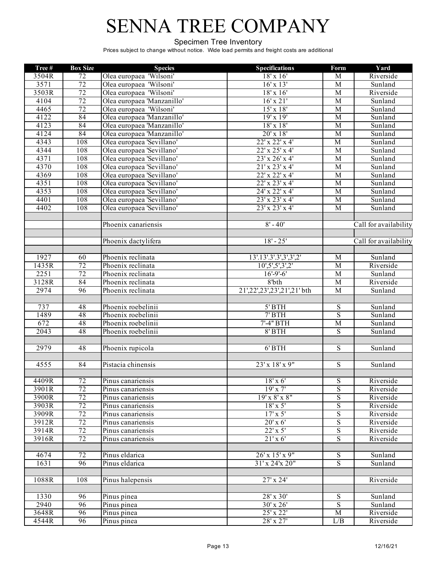#### Specimen Tree Inventory

| Tree# | <b>Box Size</b> | <b>Species</b>             | <b>Specifications</b>       | Form                    | Yard                  |
|-------|-----------------|----------------------------|-----------------------------|-------------------------|-----------------------|
| 3504R | $\overline{72}$ | Olea europaea 'Wilsoni'    | $18'$ x $16'$               | M                       | Riverside             |
| 3571  | 72              | Olea europaea 'Wilsoni'    | $16' \times 13'$            | $\overline{M}$          | Sunland               |
| 3503R | 72              | Olea europaea 'Wilsoni'    | $18'$ x $16'$               | M                       | Riverside             |
| 4104  | 72              | Olea europaea 'Manzanillo' | $16'$ x $21'$               | $\overline{M}$          | Sunland               |
| 4465  | 72              | Olea europaea 'Wilsoni'    | $15'$ x $18'$               | $\overline{M}$          | Sunland               |
| 4122  | 84              | Olea europaea 'Manzanillo' | 19'x19'                     | $\overline{M}$          | Sunland               |
| 4123  | 84              | Olea europaea 'Manzanillo' | $18'$ x $18'$               | $\overline{M}$          | Sunland               |
| 4124  | 84              | Olea europaea 'Manzanillo' | $20'$ x $18'$               | M                       | Sunland               |
| 4343  | 108             | Olea europaea 'Sevillano'  | 22' x 22' x 4'              | $\overline{M}$          | Sunland               |
| 4344  | 108             | Olea europaea 'Sevillano'  | $22'$ x $25'$ x 4'          | M                       | Sunland               |
| 4371  | 108             | Olea europaea 'Sevillano'  | 23' x 26' x 4'              | $\overline{M}$          | Sunland               |
| 4370  | 108             | Olea europaea 'Sevillano'  | 21'x 23'x 4'                | $\overline{M}$          | Sunland               |
| 4369  | 108             | Olea europaea 'Sevillano'  | 22' x 22' x 4'              | M                       | Sunland               |
| 4351  | 108             | Olea europaea 'Sevillano'  | 22' x 23' x 4'              | $\overline{M}$          | Sunland               |
| 4353  | 108             | Olea europaea 'Sevillano'  | 24' x 22' x 4'              | M                       | Sunland               |
| 4401  | 108             | Olea europaea 'Sevillano'  | 23' x 23' x 4'              | M                       | Sunland               |
| 4402  | 108             | Olea europaea 'Sevillano'  | $23'$ x $23'$ x 4'          | $\overline{M}$          | Sunland               |
|       |                 | Phoenix canariensis        | $8' - 40'$                  |                         | Call for availability |
|       |                 |                            |                             |                         |                       |
|       |                 | Phoenix dactylifera        | $18' - 25'$                 |                         | Call for availability |
|       |                 |                            |                             |                         |                       |
| 1927  | 60              | Phoenix reclinata          | 13'.13'.3'.3',3',3',2'      | M                       | Sunland               |
| 1435R | 72              | Phoenix reclinata          | 10', 5', 5', 3', 2'         | M                       | Riverside             |
| 2251  | 72              | Phoenix reclinata          | $16' - 9' - 6'$             | M                       | Sunland               |
| 3128R | 84              | Phoenix reclinata          | 8'bth                       | $\overline{M}$          | Riverside             |
| 2974  | 96              | Phoenix reclinata          | 21',22',23',23',21',21' bth | $\overline{M}$          | Sunland               |
|       |                 |                            |                             |                         |                       |
| 737   | 48              | Phoenix roebelinii         | $5'$ BTH                    | $\mathbf S$             | Sunland               |
| 1489  | 48              | Phoenix roebelinii         | $7'$ BTH                    | $\overline{\mathbf{S}}$ | Sunland               |
| 672   | 48              | Phoenix roebelinii         | 7'-4" BTH                   | $\overline{M}$          | Sunland               |
| 2043  | 48              | Phoenix roebelinii         | $8'$ BTH                    | $\overline{S}$          | Sunland               |
|       |                 |                            |                             |                         |                       |
| 2979  | 48              | Phoenix rupicola           | $6'$ BTH                    | $\overline{S}$          | Sunland               |
|       | 84              | Pistacia chinensis         | 23' x 18' x 9"              | $\overline{S}$          |                       |
| 4555  |                 |                            |                             |                         | Sunland               |
| 4409R | 72              | Pinus canariensis          | $18'$ x 6'                  | S                       | Riverside             |
| 3901R | 72              | Pinus canariensis          | $19'$ x $7'$                | $\overline{S}$          | Riverside             |
| 3900R | 72              | Pinus canariensis          | $19'$ x $8'$ x $8"$         | $\mathbf S$             | Riverside             |
| 3903R | 72              | Pinus canariensis          | $18'$ x 5'                  | $\overline{S}$          | Riverside             |
| 3909R | 72              | Pinus canariensis          | $17' \times 5'$             | $\overline{S}$          | Riverside             |
| 3912R | $\overline{72}$ | Pinus canariensis          | $20'$ x 6'                  | $\mathbf S$             | Riverside             |
| 3914R | 72              | Pinus canariensis          | $22' \times 5'$             | $\overline{S}$          | Riverside             |
| 3916R | $\overline{72}$ | Pinus canariensis          | $21'$ x 6'                  | $\overline{S}$          | Riverside             |
|       |                 |                            |                             |                         |                       |
| 4674  | $\overline{72}$ | Pinus eldarica             | $26'$ x $15'$ x $9''$       | $\overline{S}$          | Sunland               |
| 1631  | 96              | Pinus eldarica             | $31'x\,24'x\,20"$           | $\overline{S}$          | Sunland               |
|       |                 |                            |                             |                         |                       |
| 1088R | 108             | Pinus halepensis           | $27'$ x $24'$               |                         | Riverside             |
| 1330  | 96              | Pinus pinea                | $28' \times 30'$            | S                       | Sunland               |
| 2940  | $\overline{96}$ | Pinus pinea                | 30' x 26'                   | $\overline{S}$          | Sunland               |
| 3648R | $\overline{96}$ | Pinus pinea                | 25' x 22'                   | $\overline{M}$          | Riverside             |
| 4544R | 96              | Pinus pinea                | $28'$ x $27'$               | L/B                     | Riverside             |
|       |                 |                            |                             |                         |                       |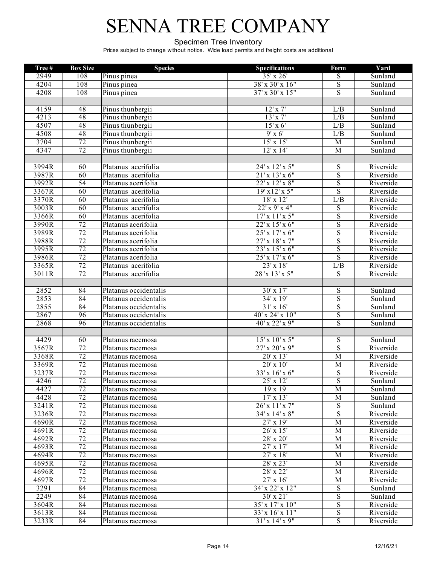#### Specimen Tree Inventory

| Tree # | <b>Box Size</b> | <b>Species</b>                         | <b>Specifications</b>        | Form                    | Yard                                  |
|--------|-----------------|----------------------------------------|------------------------------|-------------------------|---------------------------------------|
| 2949   | 108             | Pinus pinea                            | 35' x 26'                    | S                       | Sunland                               |
| 4204   | 108             | Pinus pinea                            | $38' \times 30' \times 16''$ | $\overline{S}$          | Sunland                               |
| 4208   | 108             | Pinus pinea                            | $37'$ x $30'$ x $15"$        | S                       | Sunland                               |
|        |                 |                                        |                              |                         |                                       |
| 4159   | 48              | Pinus thunbergii                       | $12'$ x $7'$                 | L/B                     | Sunland                               |
| 4213   | 48              | Pinus thunbergii                       | $13'$ x $7'$                 | L/B                     | Sunland                               |
| 4507   | 48              | Pinus thunbergii                       | $15'$ x 6'                   | L/B                     | Sunland                               |
| 4508   | 48              | Pinus thunbergii                       | $9'$ x 6'                    | L/B                     | Sunland                               |
| 3704   | $\overline{72}$ | Pinus thunbergii                       | $15' \times 15'$             | M                       | Sunland                               |
| 4347   | $\overline{72}$ | Pinus thunbergii                       | $12'$ x $14'$                | M                       | Sunland                               |
|        |                 |                                        |                              |                         |                                       |
| 3994R  | 60              | Platanus acerifolia                    | 24' x 12' x 5"               | ${\bf S}$               | Riverside                             |
| 3987R  | 60              | Platanus acerifolia                    | 21'x 13'x 6"                 | $\overline{S}$          | Riverside                             |
| 3992R  | $\overline{54}$ | Platanus acerifolia                    | 22' x 12' x 8"               | $\overline{S}$          | Riverside                             |
| 3367R  | 60              | Platanus acerifolia                    | 19'x12'x5"                   | $\overline{S}$          | Riverside                             |
| 3370R  | 60              | Platanus acerifolia                    | 18' x 12'                    | L/B                     | Riverside                             |
| 3003R  | 60              | Platanus acerifolia                    | 22'x9'x4"                    | $\overline{S}$          | Riverside                             |
| 3366R  | 60              | Platanus acerifolia                    | $17'$ x $11'$ x $5"$         | $\overline{S}$          | Riverside                             |
| 3990R  | 72              | Platanus acerifolia                    | $22'$ x $15'$ x $6"$         | $\overline{S}$          | Riverside                             |
| 3989R  | 72              | Platanus acerifolia                    | $25'$ x $17'$ x $6''$        | $\overline{S}$          | Riverside                             |
| 3988R  | 72              | Platanus acerifolia                    | $27'$ x $18'$ x $7"$         | $\overline{S}$          | Riverside                             |
| 3995R  | 72              | Platanus acerifolia                    | 23' x 15' x 6"               | ${\bf S}$               | Riverside                             |
| 3986R  | $\overline{72}$ | Platanus acerifolia                    | $25'$ x $17'$ x $6''$        | $\overline{S}$          | Riverside                             |
| 3365R  | 72              | Platanus acerifolia                    | $23' \times 18'$             | L/B                     | Riverside                             |
| 3011R  | $\overline{72}$ | Platanus acerifolia                    | 28 x 13' x 5"                | $\overline{S}$          | Riverside                             |
|        |                 |                                        |                              |                         |                                       |
| 2852   | 84              | Platanus occidentalis                  | 30' x 17'                    | $\overline{S}$          | Sunland                               |
| 2853   | 84              | Platanus occidentalis                  | 34' x 19'                    | $\overline{S}$          | Sunland                               |
| 2855   | 84              | Platanus occidentalis                  | $31' \times 16'$             | $\overline{S}$          | Sunland                               |
| 2867   | 96              | Platanus occidentalis                  | 40' x 24' x 10"              | $\overline{S}$          | Sunland                               |
| 2868   | 96              | Platanus occidentalis                  | 40' x 22' x 9"               | ${\bf S}$               | Sunland                               |
| 4429   | 60              |                                        | $15'$ x $10'$ x $5''$        | $\overline{S}$          |                                       |
| 3567R  | 72              | Platanus racemosa                      | $27'$ x $20'$ x $9''$        | $\overline{S}$          | Sunland                               |
| 3368R  | 72              | Platanus racemosa<br>Platanus racemosa | $20'$ x $13'$                | $\overline{\mathbf{M}}$ | Riverside<br>Riverside                |
| 3369R  | $\overline{72}$ | Platanus racemosa                      | 20' x 10'                    | M                       | Riverside                             |
| 3237R  | 72              | Platanus racemosa                      | $33' \times 16' \times 6''$  | ${\bf S}$               | $\overline{\text{R}}$ <i>iverside</i> |
| 4246   | 72              | Platanus racemosa                      | $25'$ x $12'$                | $\overline{S}$          | Sunland                               |
| 4427   | 72              | Platanus racemosa                      | $19 \times 19$               | M                       | Sunland                               |
| 4428   | $\overline{72}$ | Platanus racemosa                      | $17' \times 13'$             | М                       | Sunland                               |
| 3241R  | 72              | Platanus racemosa                      | 26' x 11' x 7"               | ${\bf S}$               | Sunland                               |
| 3236R  | 72              | Platanus racemosa                      | 34' x 14' x 8"               | $\overline{S}$          | Riverside                             |
| 4690R  | $\overline{72}$ | Platanus racemosa                      | $27'$ x $19'$                | M                       | Riverside                             |
| 4691R  | 72              | Platanus racemosa                      | $26' \times 15'$             | M                       | Riverside                             |
| 4692R  | $\overline{72}$ | Platanus racemosa                      | 28' x 20'                    | M                       | Riverside                             |
| 4693R  | $\overline{72}$ | Platanus racemosa                      | $27'$ x $17'$                | M                       | Riverside                             |
| 4694R  | 72              | Platanus racemosa                      | $27'$ x $18'$                | M                       | Riverside                             |
| 4695R  | 72              | Platanus racemosa                      | 28' x 23'                    | M                       | Riverside                             |
| 4696R  | $\overline{72}$ | Platanus racemosa                      | 28' x 22'                    | M                       | Riverside                             |
| 4697R  | 72              | Platanus racemosa                      | 27' x 16'                    | M                       | Riverside                             |
| 3291   | 84              | Platanus racemosa                      | 34' x 22' x 12"              | ${\bf S}$               | Sunland                               |
| 2249   | 84              | Platanus racemosa                      | $30' \times 21'$             | S                       | Sunland                               |
| 3604R  | 84              | Platanus racemosa                      | $35'$ x $17'$ x $10''$       | $\overline{S}$          | Riverside                             |
| 3613R  | 84              | Platanus racemosa                      | 33' x 16' x 11"              | ${\bf S}$               | Riverside                             |
| 3233R  | 84              | Platanus racemosa                      | 31'x14'x9"                   | $\overline{S}$          | Riverside                             |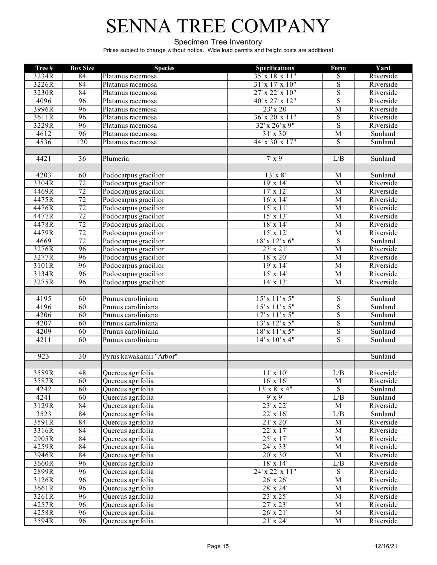#### Specimen Tree Inventory

| Tree# | <b>Box Size</b>  | <b>Species</b>          | <b>Specifications</b>        | Form                    | Yard      |
|-------|------------------|-------------------------|------------------------------|-------------------------|-----------|
| 3234R | 84               | Platanus racemosa       | 35' x 18' x 11"              | S                       | Riverside |
| 3226R | 84               | Platanus racemosa       | $31' \times 17' \times 10''$ | $\overline{\mathbf{S}}$ | Riverside |
| 3230R | 84               | Platanus racemosa       | 27' x 22' x 10"              | $\overline{S}$          | Riverside |
| 4096  | 96               | Platanus racemosa       | 40' x 27' x 12"              | $\overline{\mathbf{S}}$ | Riverside |
| 3996R | 96               | Platanus racemosa       | 23' x 20                     | $\overline{M}$          | Riverside |
| 3611R | 96               | Platanus racemosa       | 36' x 20' x 11"              | $\overline{S}$          | Riverside |
| 3229R | 96               | Platanus racemosa       | $32'$ x $26'$ x $9''$        | $\overline{S}$          | Riverside |
| 4612  | 96               | Platanus racemosa       | $31' \times 30'$             | $\overline{M}$          | Sunland   |
| 4536  | $\overline{120}$ | Platanus racemosa       | $44'$ x 30' x 17"            | S                       | Sunland   |
|       |                  |                         |                              |                         |           |
| 4421  | 36               | Plumeria                | $7'$ x 9'                    | L/B                     | Sunland   |
|       |                  |                         |                              |                         |           |
| 4203  | 60               | Podocarpus gracilior    | $13'$ x $8'$                 | M                       | Sunland   |
| 3304R | 72               | Podocarpus gracilior    | 19'x14'                      | $\overline{M}$          | Riverside |
| 4469R | 72               | Podocarpus gracilior    | 17' x 12'                    | M                       | Riverside |
| 4475R | 72               | Podocarpus gracilior    | $16' \times 14'$             | M                       | Riverside |
| 4476R | 72               | Podocarpus gracilior    | $15'$ x $11'$                | M                       | Riverside |
| 4477R | 72               | Podocarpus gracilior    | $15'$ x $13'$                | M                       | Riverside |
| 4478R | 72               | Podocarpus gracilior    | $18'$ x $14'$                | $\overline{M}$          | Riverside |
| 4479R | 72               | Podocarpus gracilior    | $15'$ x $12'$                | $\overline{M}$          | Riverside |
| 4669  | 72               | Podocarpus gracilior    | $18'$ x $12'$ x $6"$         | $\overline{S}$          | Sunland   |
| 3276R | 96               | Podocarpus gracilior    | $23'$ x $21'$                | $\overline{M}$          | Riverside |
| 3277R | 96               | Podocarpus gracilior    | $18'$ x $20'$                | M                       | Riverside |
| 3101R | 96               | Podocarpus gracilior    | 19'x14'                      | $\overline{M}$          | Riverside |
| 3134R | 96               | Podocarpus gracilior    | $15'$ x $14'$                | M                       | Riverside |
| 3275R | 96               | Podocarpus gracilior    | $14' \times 13'$             | $\overline{M}$          | Riverside |
|       |                  |                         |                              |                         |           |
| 4195  | 60               | Prunus caroliniana      | $15'$ x $11'$ x $5"$         | $\overline{S}$          | Sunland   |
| 4196  | 60               | Prunus caroliniana      | $15'$ x $11'$ x $5''$        | $\overline{\mathbf{S}}$ | Sunland   |
| 4206  | 60               | Prunus caroliniana      | 17'x11'x5"                   | $\overline{S}$          | Sunland   |
| 4207  | 60               | Prunus caroliniana      | $13'$ x $12'$ x $5''$        | S                       | Sunland   |
| 4209  | 60               | Prunus caroliniana      | 18'x11'x5"                   | $\overline{\mathbf{S}}$ | Sunland   |
| 4211  | 60               | Prunus caroliniana      | $14'$ x $10'$ x $4"$         | $\overline{S}$          | Sunland   |
|       |                  |                         |                              |                         |           |
| 923   | $\overline{30}$  | Pyrus kawakamii "Arbor" |                              |                         | Sunland   |
|       |                  |                         |                              |                         |           |
| 3589R | 48               | Quercus agrifolia       | 11'x10'                      | L/B                     | Riverside |
| 3587R | 60               | Quercus agrifolia       | $16'$ x $16'$                | $\overline{\mathbf{M}}$ | Riverside |
| 4242  | 60               | Quercus agrifolia       | $13'$ x $8'$ x 4"            | $\overline{S}$          | Sunland   |
| 4241  | 60               | Quercus agrifolia       | $9'$ x $9'$                  | L/B                     | Sunland   |
| 3129R | 84               | Quercus agrifolia       | 23' x 22'                    | $\overline{M}$          | Riverside |
| 3523  | 84               | Quercus agrifolia       | $22'$ x $16'$                | L/B                     | Sunland   |
| 3591R | 84               | Quercus agrifolia       | $21'$ x $20'$                | M                       | Riverside |
| 3316R | 84               | Quercus agrifolia       | $22'$ x $17'$                | M                       | Riverside |
| 2905R | 84               | Quercus agrifolia       | $25'$ x $17'$                | M                       | Riverside |
| 4259R | 84               | Quercus agrifolia       | 24' x 33'                    | $\overline{M}$          | Riverside |
| 3946R | 84               | Quercus agrifolia       | 20' x 30'                    | $\overline{M}$          | Riverside |
| 3660R | 96               | Quercus agrifolia       | $18' \times 14'$             | L/B                     | Riverside |
| 2899R | 96               | Quercus agrifolia       | 24' x 22' x 11"              | $\overline{S}$          | Riverside |
| 3126R | 96               | Quercus agrifolia       | $26'$ x $26'$                | M                       | Riverside |
| 3661R | 96               | Quercus agrifolia       | 28' x 24'                    | $\mathbf M$             | Riverside |
| 3261R | 96               | Quercus agrifolia       | $23' \times 25'$             | M                       | Riverside |
| 4257R | 96               | Quercus agrifolia       | $27'$ x $23'$                | $\mathbf M$             | Riverside |
| 4258R | $\overline{96}$  | Quercus agrifolia       | $26'$ x $21'$                | $\mathbf M$             | Riverside |
| 3594R | 96               | Quercus agrifolia       | $21'$ x $24'$                | M                       | Riverside |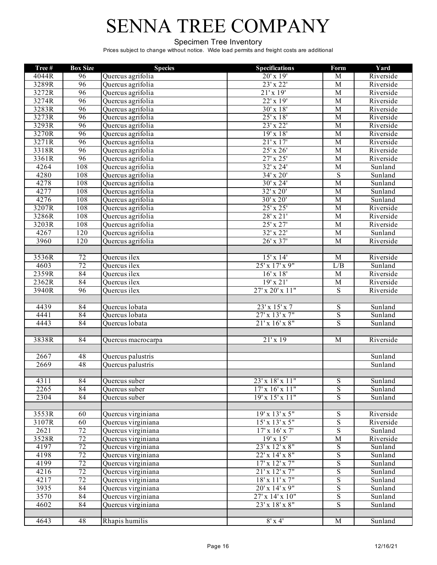#### Specimen Tree Inventory

| Tree#         | <b>Box Size</b> | <b>Species</b>                           | <b>Specifications</b>                 | Form                             | Yard                 |
|---------------|-----------------|------------------------------------------|---------------------------------------|----------------------------------|----------------------|
| 4044R         | 96              | Quercus agrifolia                        | $20'$ x 19'                           | $\mathbf M$                      | Riverside            |
| 3289R         | 96              | Quercus agrifolia                        | 23' x 22'                             | $\overline{M}$                   | Riverside            |
| 3272R         | 96              | Quercus agrifolia                        | 21'x19'                               | $\overline{M}$                   | Riverside            |
| 3274R         | 96              | Quercus agrifolia                        | 22' x 19'                             | $\overline{M}$                   | Riverside            |
| 3283R         | 96              | Quercus agrifolia                        | $30'$ x $18'$                         | $\overline{M}$                   | Riverside            |
| 3273R         | 96              | Quercus agrifolia                        | $25'$ x $18'$                         | $\overline{M}$                   | Riverside            |
| 3293R         | 96              | Quercus agrifolia                        | $23'$ x $22'$                         | $\overline{\mathbf{M}}$          | Riverside            |
| 3270R         | 96              | Quercus agrifolia                        | 19'x18'                               | $\overline{M}$                   | Riverside            |
| 3271R         | 96              | Quercus agrifolia                        | 21'x17'                               | $\overline{M}$                   | Riverside            |
| 3318R         | 96              | Quercus agrifolia                        | $25'$ x $26'$                         | $\overline{M}$                   | Riverside            |
| 3361R         | 96              | Quercus agrifolia                        | $27'$ x $25'$                         | $\overline{M}$                   | Riverside            |
| 4264          | 108             | Quercus agrifolia                        | $32' \times 24'$                      | $\overline{M}$                   | Sunland              |
| 4280          | 108             | Quercus agrifolia                        | 34' x 20'                             | $\overline{S}$                   | Sunland              |
| 4278          | 108             | Quercus agrifolia                        | $30'$ x 24'                           | $\overline{M}$                   | Sunland              |
| 4277          | 108             | Quercus agrifolia                        | 32' x 20'                             | $\overline{M}$                   | Sunland              |
| 4276          | 108             | Quercus agrifolia                        | $30'$ x $20'$                         | $\overline{M}$                   | Sunland              |
| 3207R         | 108             | Quercus agrifolia                        | $25'$ x $25'$                         | $\overline{M}$                   | Riverside            |
| 3286R         | 108             | Quercus agrifolia                        | $28'$ x $21'$                         | $\overline{M}$                   | Riverside            |
| 3203R<br>4267 | 108<br>120      | Quercus agrifolia                        | $25'$ x $27'$                         | $\overline{M}$                   | Riverside            |
| 3960          | 120             | Quercus agrifolia<br>Quercus agrifolia   | 32' x 22'<br>$26'$ x $37'$            | $\mathbf M$<br>$\overline{M}$    | Sunland              |
|               |                 |                                          |                                       |                                  | Riverside            |
| 3536R         | $\overline{72}$ | Quercus ilex                             | $15'$ x $14'$                         | M                                | Riverside            |
| 4603          | $\overline{72}$ | Quercus ilex                             | $25'$ x $17'$ x $9''$                 | L/B                              | Sunland              |
| 2359R         | 84              | Quercus ilex                             | $16'$ x $18'$                         | $\overline{M}$                   | Riverside            |
| 2362R         | 84              | Quercus ilex                             | 19'x21'                               | $\overline{M}$                   | Riverside            |
| 3940R         | 96              | Quercus ilex                             | 27' x 20' x 11"                       | $\overline{S}$                   | Riverside            |
|               |                 |                                          |                                       |                                  |                      |
| 4439          | 84              | Quercus lobata                           | $23'$ x $15'$ x 7                     | ${\bf S}$                        | Sunland              |
| 4441          | 84              | Quercus lobata                           | $27'$ x $13'$ x $7''$                 | $\overline{S}$                   | Sunland              |
| 4443          | 84              | Quercus lobata                           | 21'x 16'x 8''                         | $\overline{S}$                   | Sunland              |
|               |                 |                                          |                                       |                                  |                      |
| 3838R         | 84              | Quercus macrocarpa                       | 21'x19                                | M                                | Riverside            |
|               |                 |                                          |                                       |                                  |                      |
| 2667          | 48              | Quercus palustris                        |                                       |                                  | Sunland              |
| 2669          | 48              | Quercus palustris                        |                                       |                                  | Sunland              |
|               |                 |                                          |                                       |                                  |                      |
| 4311          | 84              | Ouercus suber                            | 23'x18'x11"                           | S                                | Sunland              |
| 2265          | $\overline{84}$ | Quercus suber                            | $17'$ x $16'$ x $11''$                | S                                | Sunland              |
| 2304          | $\overline{84}$ | Quercus suber                            | 19'x 15'x 11''                        | S                                | Sunland              |
|               |                 |                                          |                                       |                                  |                      |
| 3553R         | 60              | Quercus virginiana                       | 19'x 13'x 5"<br>$15'$ x $13'$ x $5''$ | S                                | Riverside            |
| 3107R<br>2621 | 60<br>72        | Quercus virginiana                       | $17'$ x $16'$ x $7'$                  | $\overline{S}$<br>$\overline{S}$ | Riverside            |
| 3528R         | $\overline{72}$ | Quercus virginiana<br>Quercus virginiana | $19' \times 15'$                      | M                                | Sunland<br>Riverside |
| 4197          | 72              | Quercus virginiana                       | 23' x 12' x 8"                        |                                  |                      |
| 4198          | 72              | Quercus virginiana                       | $22'$ x $14'$ x $8''$                 | ${\bf S}$<br>$\overline{S}$      | Sunland<br>Sunland   |
| 4199          | 72              | Quercus virginiana                       | $17'$ x $12'$ x $7"$                  | $\mathbf S$                      | Sunland              |
| 4216          | $\overline{72}$ | Quercus virginiana                       | 21'x 12'x 7''                         | ${\bf S}$                        | Sunland              |
| 4217          | 72              | Quercus virginiana                       | 18'x11'x7"                            | ${\bf S}$                        | Sunland              |
| 3935          | 84              | Quercus virginiana                       | $20'$ x $14'$ x $9''$                 | $\overline{S}$                   | Sunland              |
| 3570          | 84              | Quercus virginiana                       | 27' x 14' x 10"                       | $\overline{S}$                   | Sunland              |
| 4602          | 84              | Quercus virginiana                       | 23' x 18' x 8"                        | $\overline{S}$                   | Sunland              |
|               |                 |                                          |                                       |                                  |                      |
| 4643          | 48              | Rhapis humilis                           | $8' \times 4'$                        | M                                | Sunland              |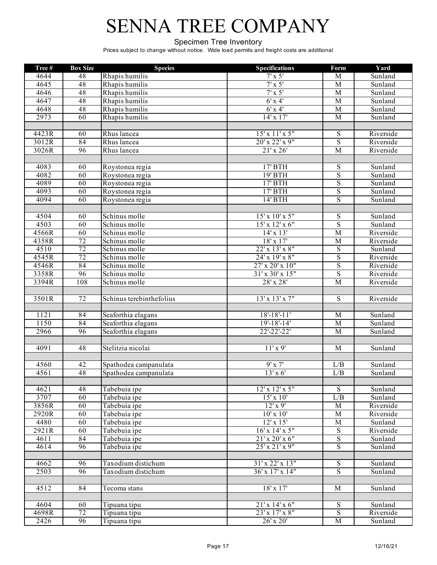#### Specimen Tree Inventory

| Tree# | <b>Box Size</b> | <b>Species</b>           | <b>Specifications</b> | Form                    | Yard      |
|-------|-----------------|--------------------------|-----------------------|-------------------------|-----------|
| 4644  | 48              | Rhapis humilis           | $7' \times 5'$        | M                       | Sunland   |
| 4645  | 48              | Rhapis humilis           | $7' \times 5'$        | $\overline{M}$          | Sunland   |
| 4646  | 48              | Rhapis humilis           | $7' \times 5'$        | $\overline{M}$          | Sunland   |
| 4647  | 48              | Rhapis humilis           | $6'$ x 4'             | $\overline{M}$          | Sunland   |
| 4648  | 48              | Rhapis humilis           | $6'$ x 4'             | $\overline{M}$          | Sunland   |
| 2973  | 60              | Rhapis humilis           | $14'$ x $17'$         | $\overline{M}$          | Sunland   |
|       |                 |                          |                       |                         |           |
| 4423R | 60              | Rhus lancea              | $15'$ x $11'$ x $5''$ | S                       | Riverside |
| 3012R | 84              | Rhus lancea              | $20'$ x $22'$ x $9''$ | $\overline{\mathbf{S}}$ | Riverside |
| 3026R | 96              | Rhus lancea              | $21'$ x $26'$         | M                       | Riverside |
|       |                 |                          |                       |                         |           |
| 4083  | 60              | Roystonea regia          | $17'$ BTH             | $\overline{S}$          | Sunland   |
| 4082  | 60              | Roystonea regia          | 19' BTH               | $\overline{S}$          | Sunland   |
| 4089  | 60              | Roystonea regia          | $17'$ BTH             | $\overline{\mathbf{S}}$ | Sunland   |
| 4093  | 60              | Roystonea regia          | $17'$ BTH             | $\overline{S}$          | Sunland   |
| 4094  | 60              | Roystonea regia          | $14'$ BTH             | $\overline{\mathbf{S}}$ | Sunland   |
|       |                 |                          |                       |                         |           |
| 4504  | 60              | Schinus molle            | $15'$ x $10'$ x $5''$ | $\mathbf S$             | Sunland   |
| 4503  | 60              | Schinus molle            | $15'$ x $12'$ x $6''$ | $\overline{\mathbf{S}}$ | Sunland   |
| 4566R | 60              | Schinus molle            | $14' \times 13'$      | $\overline{M}$          | Riverside |
| 4358R | $\overline{72}$ | Schinus molle            | $18' \times 17'$      | $\mathbf M$             | Riverside |
| 4510  | $\overline{72}$ | Schinus molle            | 22' x 13' x 8"        | $\overline{S}$          | Sunland   |
| 4545R | $\overline{72}$ | Schinus molle            | 24' x 19' x 8"        | $\overline{S}$          | Riverside |
| 4546R | 84              | Schinus molle            | 27' x 20' x 10"       | $\overline{\mathbf{S}}$ | Riverside |
| 3358R | 96              | Schinus molle            | $31'$ x 30' x 15"     | $\overline{S}$          | Riverside |
| 3394R | 108             | Schinus molle            | 28' x 28'             | $\overline{M}$          | Riverside |
|       |                 |                          |                       |                         |           |
| 3501R | $\overline{72}$ | Schinus terebinthefolius | $13'$ x $13'$ x $7''$ | $\mathbf S$             | Riverside |
|       |                 |                          |                       |                         |           |
| 1121  | 84              | Seaforthia elagans       | $18 - 18 - 11'$       | $\overline{M}$          | Sunland   |
| 1150  | 84              | Seaforthia elagans       | $19' - 18' - 14'$     | $\overline{M}$          | Sunland   |
| 2966  | 96              | Seaforthia elagans       | $22 - 22 - 22'$       | $\overline{M}$          | Sunland   |
|       |                 |                          |                       |                         |           |
| 4091  | 48              | Stelitzia nicolai        | $11'$ x 9'            | $\overline{M}$          | Sunland   |
|       |                 |                          |                       |                         |           |
| 4560  | 42              | Spathodea campanulata    | $9'$ x $7'$           | L/B                     | Sunland   |
| 4561  | 48              | Spathodea campanulata    | $13'$ x 6'            | L/B                     | Sunland   |
|       |                 |                          |                       |                         |           |
| 4621  | 48              | Tabebuia ipe             | $12'$ x $12'$ x $5"$  | $\overline{S}$          | Sunland   |
| 3707  | 60              | Tabebuia ipe             | $15'$ x $10'$         | L/B                     | Sunland   |
| 3856R | 60              | Tabebuia ipe             | $12'$ x 9'            | $\mathbf M$             | Riverside |
| 2920R | 60              | Tabebuia ipe             | $10'$ x $10'$         | M                       | Riverside |
| 4480  | 60              | Tabebuia ipe             | $12'$ x $15'$         | M                       | Sunland   |
| 2921R | 60              | Tabebuia ipe             | $16'$ x $14'$ x $5''$ | $\overline{S}$          | Riverside |
| 4611  | 84              | Tabebuia ipe             | $21'$ x $20'$ x $6"$  | $\mathbf S$             | Sunland   |
| 4614  | $\overline{96}$ | Tabebuia ipe             | $25'$ x $21'$ x $9''$ | $\overline{S}$          | Sunland   |
|       |                 |                          |                       |                         |           |
| 4662  | 96              | Taxodium distichum       | 31'x 22'x 13''        | S                       | Sunland   |
| 2503  | 96              | Taxodium distichum       | $36'$ x $17'$ x $14"$ | $\overline{S}$          | Sunland   |
|       |                 |                          |                       |                         |           |
| 4512  | 84              | Tecoma stans             | $18' \times 17'$      | M                       | Sunland   |
|       |                 |                          |                       |                         |           |
| 4604  | 60              | Tipuana tipu             | 21'x 14'x 6"          | S                       | Sunland   |
| 4698R | $\overline{72}$ | Tipuana tipu             | $23'$ x 17' x 8"      | ${\bf S}$               | Riverside |
| 2426  | $\overline{96}$ | Tipuana tipu             | 26' x 20'             | $\mathbf M$             | Sunland   |